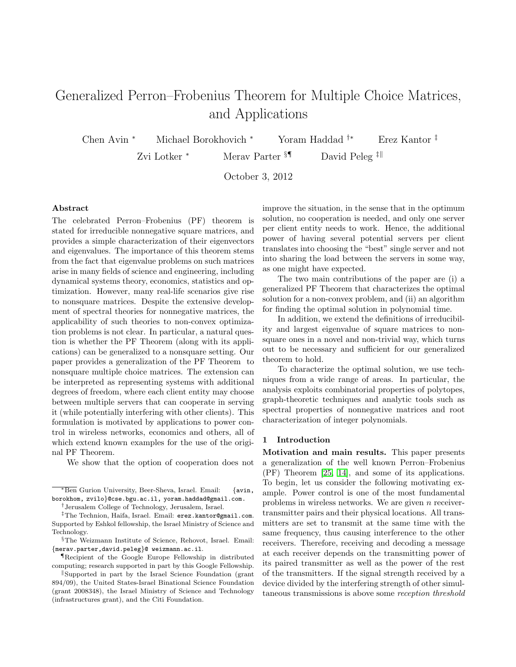# Generalized Perron–Frobenius Theorem for Multiple Choice Matrices, and Applications

Chen Avin <sup>∗</sup> Michael Borokhovich <sup>∗</sup> Yoram Haddad †∗ Erez Kantor ‡

Zvi Lotker <sup>∗</sup> Merav Parter <sup>§¶</sup> David Peleg <sup>‡∥</sup>

October 3, 2012

## Abstract

The celebrated Perron–Frobenius (PF) theorem is stated for irreducible nonnegative square matrices, and provides a simple characterization of their eigenvectors and eigenvalues. The importance of this theorem stems from the fact that eigenvalue problems on such matrices arise in many fields of science and engineering, including dynamical systems theory, economics, statistics and optimization. However, many real-life scenarios give rise to nonsquare matrices. Despite the extensive development of spectral theories for nonnegative matrices, the applicability of such theories to non-convex optimization problems is not clear. In particular, a natural question is whether the PF Theorem (along with its applications) can be generalized to a nonsquare setting. Our paper provides a generalization of the PF Theorem to nonsquare multiple choice matrices. The extension can be interpreted as representing systems with additional degrees of freedom, where each client entity may choose between multiple servers that can cooperate in serving it (while potentially interfering with other clients). This formulation is motivated by applications to power control in wireless networks, economics and others, all of which extend known examples for the use of the original PF Theorem.

We show that the option of cooperation does not

improve the situation, in the sense that in the optimum solution, no cooperation is needed, and only one server per client entity needs to work. Hence, the additional power of having several potential servers per client translates into choosing the "best" single server and not into sharing the load between the servers in some way, as one might have expected.

The two main contributions of the paper are (i) a generalized PF Theorem that characterizes the optimal solution for a non-convex problem, and (ii) an algorithm for finding the optimal solution in polynomial time.

In addition, we extend the definitions of irreducibility and largest eigenvalue of square matrices to nonsquare ones in a novel and non-trivial way, which turns out to be necessary and sufficient for our generalized theorem to hold.

To characterize the optimal solution, we use techniques from a wide range of areas. In particular, the analysis exploits combinatorial properties of polytopes, graph-theoretic techniques and analytic tools such as spectral properties of nonnegative matrices and root characterization of integer polynomials.

#### 1 Introduction

Motivation and main results. This paper presents a generalization of the well known Perron–Frobenius (PF) Theorem [\[25,](#page-19-0) [14\]](#page-19-1), and some of its applications. To begin, let us consider the following motivating example. Power control is one of the most fundamental problems in wireless networks. We are given  $n$  receivertransmitter pairs and their physical locations. All transmitters are set to transmit at the same time with the same frequency, thus causing interference to the other receivers. Therefore, receiving and decoding a message at each receiver depends on the transmitting power of its paired transmitter as well as the power of the rest of the transmitters. If the signal strength received by a device divided by the interfering strength of other simultaneous transmissions is above some reception threshold

<sup>∗</sup>Ben Gurion University, Beer-Sheva, Israel. Email: {avin, borokhom, zvilo}@cse.bgu.ac.il, yoram.haddad@gmail.com.

<sup>†</sup>Jerusalem College of Technology, Jerusalem, Israel.

<sup>‡</sup>The Technion, Haifa, Israel. Email: erez.kantor@gmail.com. Supported by Eshkol fellowship, the Israel Ministry of Science and Technology.

<sup>§</sup>The Weizmann Institute of Science, Rehovot, Israel. Email: {merav.parter,david.peleg}@ weizmann.ac.il.

<sup>¶</sup>Recipient of the Google Europe Fellowship in distributed computing; research supported in part by this Google Fellowship.

 $\mathbb{I}$ Supported in part by the Israel Science Foundation (grant 894/09), the United States-Israel Binational Science Foundation (grant 2008348), the Israel Ministry of Science and Technology (infrastructures grant), and the Citi Foundation.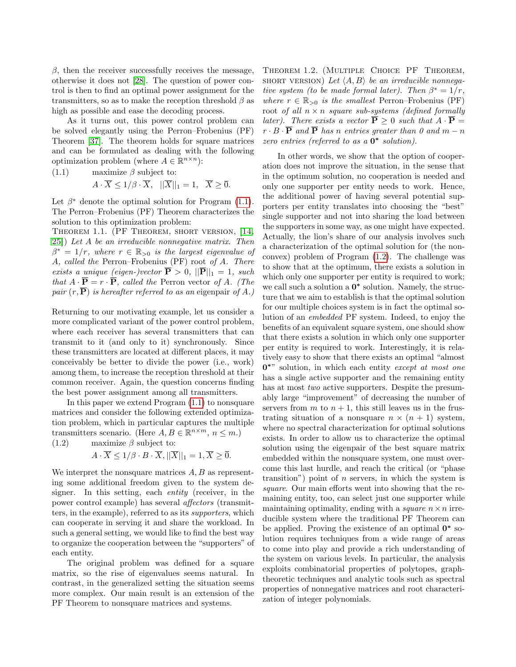$β$ , then the receiver successfully receives the message, otherwise it does not [\[28\]](#page-19-2). The question of power control is then to find an optimal power assignment for the transmitters, so as to make the reception threshold  $\beta$  as high as possible and ease the decoding process.

As it turns out, this power control problem can be solved elegantly using the Perron–Frobenius (PF) Theorem [\[37\]](#page-19-3). The theorem holds for square matrices and can be formulated as dealing with the following optimization problem (where  $A \in \mathbb{R}^{n \times n}$ ):

<span id="page-1-0"></span>(1.1) maximize 
$$
\beta
$$
 subject to:  
\n $A \cdot \overline{X} \le 1/\beta \cdot \overline{X}$ ,  $\|\overline{X}\|_1 = 1$ ,  $\overline{X} \ge \overline{0}$ .

Let  $\beta^*$  denote the optimal solution for Program [\(1.1\)](#page-1-0). The Perron–Frobenius (PF) Theorem characterizes the solution to this optimization problem:

THEOREM 1.1. (PF THEOREM, SHORT VERSION, [\[14,](#page-19-1) [25\]](#page-19-0)) Let A be an irreducible nonnegative matrix. Then  $\beta^* = 1/r$ , where  $r \in \mathbb{R}_{>0}$  is the largest eigenvalue of A, called the Perron–Frobenius (PF) root of A. There exists a unique (eigen-)vector  $\overline{P} > 0$ ,  $||\overline{P}||_1 = 1$ , such that  $A \cdot \overline{P} = r \cdot \overline{P}$ , called the Perron vector of A. (The pair  $(r, \overline{P})$  is hereafter referred to as an eigenpair of A.)

Returning to our motivating example, let us consider a more complicated variant of the power control problem, where each receiver has several transmitters that can transmit to it (and only to it) synchronously. Since these transmitters are located at different places, it may conceivably be better to divide the power (i.e., work) among them, to increase the reception threshold at their common receiver. Again, the question concerns finding the best power assignment among all transmitters.

In this paper we extend Program [\(1.1\)](#page-1-0) to nonsquare matrices and consider the following extended optimization problem, which in particular captures the multiple transmitters scenario. (Here  $A, B \in \mathbb{R}^{n \times m}, n \leq m$ .)

 $(1.2)$  maximize  $\beta$  subject to:

<span id="page-1-1"></span>
$$
A \cdot \overline{X} \le 1/\beta \cdot B \cdot \overline{X}, \|\overline{X}\|_1 = 1, \overline{X} \ge \overline{0}.
$$

We interpret the nonsquare matrices  $A, B$  as representing some additional freedom given to the system designer. In this setting, each entity (receiver, in the power control example) has several affectors (transmitters, in the example), referred to as its supporters, which can cooperate in serving it and share the workload. In such a general setting, we would like to find the best way to organize the cooperation between the "supporters" of each entity.

<span id="page-1-3"></span>The original problem was defined for a square matrix, so the rise of eigenvalues seems natural. In contrast, in the generalized setting the situation seems more complex. Our main result is an extension of the PF Theorem to nonsquare matrices and systems.

THEOREM 1.2. (MULTIPLE CHOICE PF THEOREM, SHORT VERSION) Let  $\langle A, B \rangle$  be an irreducible nonnegative system (to be made formal later). Then  $\beta^* = 1/r$ , where  $r \in \mathbb{R}_{>0}$  is the smallest Perron–Frobenius (PF) root of all  $n \times n$  square sub-systems (defined formally *later*). There exists a vector  $\overline{P} \geq 0$  such that  $A \cdot \overline{P} =$  $r \cdot B \cdot \overline{P}$  and  $\overline{P}$  has n entries greater than 0 and  $m - n$ zero entries (referred to as a  $0^*$  solution).

<span id="page-1-2"></span>In other words, we show that the option of cooperation does not improve the situation, in the sense that in the optimum solution, no cooperation is needed and only one supporter per entity needs to work. Hence, the additional power of having several potential supporters per entity translates into choosing the "best" single supporter and not into sharing the load between the supporters in some way, as one might have expected. Actually, the lion's share of our analysis involves such a characterization of the optimal solution for (the nonconvex) problem of Program [\(1.2\)](#page-1-1). The challenge was to show that at the optimum, there exists a solution in which only one supporter per entity is required to work; we call such a solution a  $0^*$  solution. Namely, the structure that we aim to establish is that the optimal solution for our multiple choices system is in fact the optimal solution of an embedded PF system. Indeed, to enjoy the benefits of an equivalent square system, one should show that there exists a solution in which only one supporter per entity is required to work. Interestingly, it is relatively easy to show that there exists an optimal "almost 0<sup>\*</sup>" solution, in which each entity except at most one has a single active supporter and the remaining entity has at most *two* active supporters. Despite the presumably large "improvement" of decreasing the number of servers from  $m$  to  $n + 1$ , this still leaves us in the frustrating situation of a nonsquare  $n \times (n + 1)$  system, where no spectral characterization for optimal solutions exists. In order to allow us to characterize the optimal solution using the eigenpair of the best square matrix embedded within the nonsquare system, one must overcome this last hurdle, and reach the critical (or "phase transition") point of  $n$  servers, in which the system is square. Our main efforts went into showing that the remaining entity, too, can select just one supporter while maintaining optimality, ending with a *square*  $n \times n$  irreducible system where the traditional PF Theorem can be applied. Proving the existence of an optimal  $0^*$  solution requires techniques from a wide range of areas to come into play and provide a rich understanding of the system on various levels. In particular, the analysis exploits combinatorial properties of polytopes, graphtheoretic techniques and analytic tools such as spectral properties of nonnegative matrices and root characterization of integer polynomials.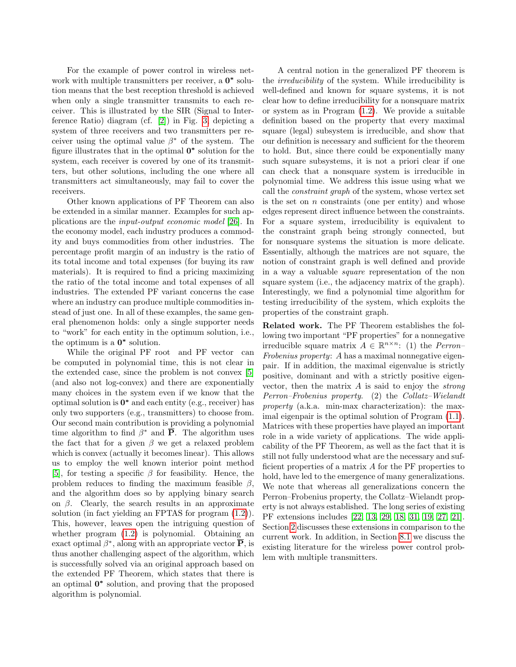For the example of power control in wireless network with multiple transmitters per receiver, a  $0^*$  solution means that the best reception threshold is achieved when only a single transmitter transmits to each receiver. This is illustrated by the SIR (Signal to Interference Ratio) diagram (cf. [\[2\]](#page-19-4)) in Fig. [3,](#page-18-0) depicting a system of three receivers and two transmitters per receiver using the optimal value  $\beta^*$  of the system. The figure illustrates that in the optimal  $0^*$  solution for the system, each receiver is covered by one of its transmitters, but other solutions, including the one where all transmitters act simultaneously, may fail to cover the receivers.

Other known applications of PF Theorem can also be extended in a similar manner. Examples for such applications are the input-output economic model [\[26\]](#page-19-5). In the economy model, each industry produces a commodity and buys commodities from other industries. The percentage profit margin of an industry is the ratio of its total income and total expenses (for buying its raw materials). It is required to find a pricing maximizing the ratio of the total income and total expenses of all industries. The extended PF variant concerns the case where an industry can produce multiple commodities instead of just one. In all of these examples, the same general phenomenon holds: only a single supporter needs to "work" for each entity in the optimum solution, i.e., the optimum is a  $0^*$  solution.

While the original PF root and PF vector can be computed in polynomial time, this is not clear in the extended case, since the problem is not convex [\[5\]](#page-19-6) (and also not log-convex) and there are exponentially many choices in the system even if we know that the optimal solution is  $0^*$  and each entity (e.g., receiver) has only two supporters (e.g., transmitters) to choose from. Our second main contribution is providing a polynomial time algorithm to find  $\beta^*$  and  $\overline{P}$ . The algorithm uses the fact that for a given  $\beta$  we get a relaxed problem which is convex (actually it becomes linear). This allows us to employ the well known interior point method [\[5\]](#page-19-6), for testing a specific  $\beta$  for feasibility. Hence, the problem reduces to finding the maximum feasible  $\beta$ , and the algorithm does so by applying binary search on  $\beta$ . Clearly, the search results in an approximate solution (in fact yielding an FPTAS for program [\(1.2\)](#page-1-1)). This, however, leaves open the intriguing question of whether program [\(1.2\)](#page-1-1) is polynomial. Obtaining an exact optimal  $\beta^*$ , along with an appropriate vector  $\overline{P}$ , is thus another challenging aspect of the algorithm, which is successfully solved via an original approach based on the extended PF Theorem, which states that there is an optimal  $0^*$  solution, and proving that the proposed algorithm is polynomial.

A central notion in the generalized PF theorem is the irreducibility of the system. While irreducibility is well-defined and known for square systems, it is not clear how to define irreducibility for a nonsquare matrix or system as in Program [\(1.2\)](#page-1-1). We provide a suitable definition based on the property that every maximal square (legal) subsystem is irreducible, and show that our definition is necessary and sufficient for the theorem to hold. But, since there could be exponentially many such square subsystems, it is not a priori clear if one can check that a nonsquare system is irreducible in polynomial time. We address this issue using what we call the constraint graph of the system, whose vertex set is the set on  $n$  constraints (one per entity) and whose edges represent direct influence between the constraints. For a square system, irreducibility is equivalent to the constraint graph being strongly connected, but for nonsquare systems the situation is more delicate. Essentially, although the matrices are not square, the notion of constraint graph is well defined and provide in a way a valuable square representation of the non square system (i.e., the adjacency matrix of the graph). Interestingly, we find a polynomial time algorithm for testing irreducibility of the system, which exploits the properties of the constraint graph.

Related work. The PF Theorem establishes the following two important "PF properties" for a nonnegative irreducible square matrix  $A \in \mathbb{R}^{n \times n}$ : (1) the *Perron*-Frobenius property: A has a maximal nonnegative eigenpair. If in addition, the maximal eigenvalue is strictly positive, dominant and with a strictly positive eigenvector, then the matrix  $A$  is said to enjoy the *strong* Perron–Frobenius property. (2) the Collatz–Wielandt property (a.k.a. min-max characterization): the maximal eigenpair is the optimal solution of Program [\(1.1\)](#page-1-0). Matrices with these properties have played an important role in a wide variety of applications. The wide applicability of the PF Theorem, as well as the fact that it is still not fully understood what are the necessary and sufficient properties of a matrix A for the PF properties to hold, have led to the emergence of many generalizations. We note that whereas all generalizations concern the Perron–Frobenius property, the Collatz–Wielandt property is not always established. The long series of existing PF extensions includes [\[22,](#page-19-7) [13,](#page-19-8) [29,](#page-19-9) [18,](#page-19-10) [31,](#page-19-11) [19,](#page-19-12) [27,](#page-19-13) [21\]](#page-19-14). Section [2](#page-3-0) discusses these extensions in comparison to the current work. In addition, in Section [8.1](#page-16-0) we discuss the existing literature for the wireless power control problem with multiple transmitters.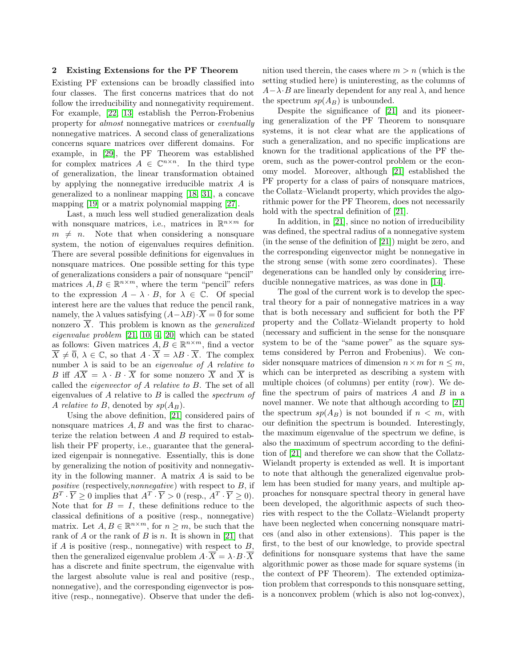#### <span id="page-3-0"></span>2 Existing Extensions for the PF Theorem

Existing PF extensions can be broadly classified into four classes. The first concerns matrices that do not follow the irreducibility and nonnegativity requirement. For example, [\[22,](#page-19-7) [13\]](#page-19-8) establish the Perron-Frobenius property for almost nonnegative matrices or eventually nonnegative matrices. A second class of generalizations concerns square matrices over different domains. For example, in [\[29\]](#page-19-9), the PF Theorem was established for complex matrices  $A \in \mathbb{C}^{n \times n}$ . In the third type of generalization, the linear transformation obtained by applying the nonnegative irreducible matrix A is generalized to a nonlinear mapping [\[18,](#page-19-10) [31\]](#page-19-11), a concave mapping [\[19\]](#page-19-12) or a matrix polynomial mapping [\[27\]](#page-19-13).

Last, a much less well studied generalization deals with nonsquare matrices, i.e., matrices in  $\mathbb{R}^{n \times m}$  for  $m \neq n$ . Note that when considering a nonsquare system, the notion of eigenvalues requires definition. There are several possible definitions for eigenvalues in nonsquare matrices. One possible setting for this type of generalizations considers a pair of nonsquare "pencil" matrices  $A, B \in \mathbb{R}^{n \times m}$ , where the term "pencil" refers to the expression  $A - \lambda \cdot B$ , for  $\lambda \in \mathbb{C}$ . Of special interest here are the values that reduce the pencil rank, namely, the  $\lambda$  values satisfying  $(A-\lambda B)\cdot\overline{X}=\overline{0}$  for some nonzero  $\overline{X}$ . This problem is known as the *generalized* eigenvalue problem [\[21,](#page-19-14) [10,](#page-19-15) [4,](#page-19-16) [20\]](#page-19-17) which can be stated as follows: Given matrices  $A, B \in \mathbb{R}^{n \times m}$ , find a vector  $\overline{X} \neq \overline{0}$ ,  $\lambda \in \mathbb{C}$ , so that  $A \cdot \overline{X} = \lambda B \cdot \overline{X}$ . The complex number  $\lambda$  is said to be an *eigenvalue of A relative to* B iff  $A\overline{X} = \lambda \cdot B \cdot \overline{X}$  for some nonzero  $\overline{X}$  and  $\overline{X}$  is called the eigenvector of A relative to B. The set of all eigenvalues of  $A$  relative to  $B$  is called the *spectrum of* A relative to B, denoted by  $sp(A_B)$ .

Using the above definition, [\[21\]](#page-19-14) considered pairs of nonsquare matrices  $A, B$  and was the first to characterize the relation between  $A$  and  $B$  required to establish their PF property, i.e., guarantee that the generalized eigenpair is nonnegative. Essentially, this is done by generalizing the notion of positivity and nonnegativity in the following manner. A matrix  $A$  is said to be positive (respectively, *nonnegative*) with respect to  $B$ , if  $B^T \cdot \overline{Y} \ge 0$  implies that  $A^T \cdot \overline{Y} > 0$  (resp.,  $A^T \cdot \overline{Y} \ge 0$ ). Note that for  $B = I$ , these definitions reduce to the classical definitions of a positive (resp., nonnegative) matrix. Let  $A, B \in \mathbb{R}^{n \times m}$ , for  $n \geq m$ , be such that the rank of  $A$  or the rank of  $B$  is  $n$ . It is shown in [\[21\]](#page-19-14) that if  $A$  is positive (resp., nonnegative) with respect to  $B$ , then the generalized eigenvalue problem  $A \cdot \overline{X} = \lambda \cdot B \cdot \overline{X}$ has a discrete and finite spectrum, the eigenvalue with the largest absolute value is real and positive (resp., nonnegative), and the corresponding eigenvector is positive (resp., nonnegative). Observe that under the defi-

nition used therein, the cases where  $m > n$  (which is the setting studied here) is uninteresting, as the columns of  $A-\lambda \cdot B$  are linearly dependent for any real  $\lambda$ , and hence the spectrum  $sp(A_B)$  is unbounded.

Despite the significance of [\[21\]](#page-19-14) and its pioneering generalization of the PF Theorem to nonsquare systems, it is not clear what are the applications of such a generalization, and no specific implications are known for the traditional applications of the PF theorem, such as the power-control problem or the economy model. Moreover, although [\[21\]](#page-19-14) established the PF property for a class of pairs of nonsquare matrices, the Collatz–Wielandt property, which provides the algorithmic power for the PF Theorem, does not necessarily hold with the spectral definition of [\[21\]](#page-19-14).

In addition, in [\[21\]](#page-19-14), since no notion of irreducibility was defined, the spectral radius of a nonnegative system (in the sense of the definition of [\[21\]](#page-19-14)) might be zero, and the corresponding eigenvector might be nonnegative in the strong sense (with some zero coordinates). These degenerations can be handled only by considering irreducible nonnegative matrices, as was done in [\[14\]](#page-19-1).

The goal of the current work is to develop the spectral theory for a pair of nonnegative matrices in a way that is both necessary and sufficient for both the PF property and the Collatz–Wielandt property to hold (necessary and sufficient in the sense for the nonsquare system to be of the "same power" as the square systems considered by Perron and Frobenius). We consider nonsquare matrices of dimension  $n \times m$  for  $n \leq m$ , which can be interpreted as describing a system with multiple choices (of columns) per entity (row). We define the spectrum of pairs of matrices  $A$  and  $B$  in a novel manner. We note that although according to [\[21\]](#page-19-14) the spectrum  $sp(A_B)$  is not bounded if  $n < m$ , with our definition the spectrum is bounded. Interestingly, the maximum eigenvalue of the spectrum we define, is also the maximum of spectrum according to the definition of [\[21\]](#page-19-14) and therefore we can show that the Collatz-Wielandt property is extended as well. It is important to note that although the generalized eigenvalue problem has been studied for many years, and multiple approaches for nonsquare spectral theory in general have been developed, the algorithmic aspects of such theories with respect to the the Collatz–Wielandt property have been neglected when concerning nonsquare matrices (and also in other extensions). This paper is the first, to the best of our knowledge, to provide spectral definitions for nonsquare systems that have the same algorithmic power as those made for square systems (in the context of PF Theorem). The extended optimization problem that corresponds to this nonsquare setting, is a nonconvex problem (which is also not log-convex),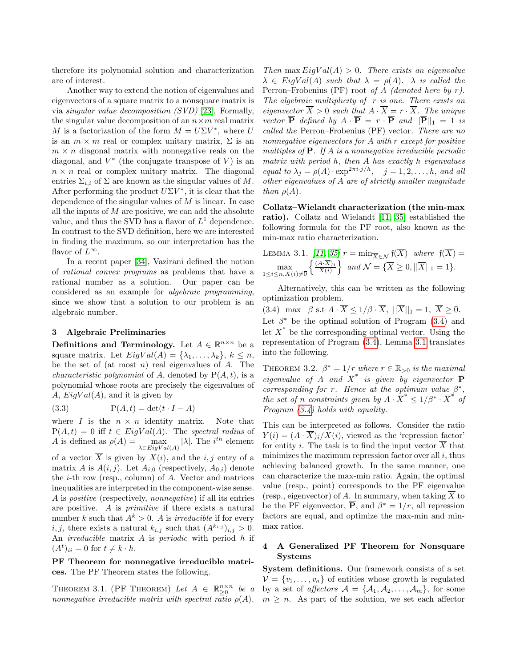therefore its polynomial solution and characterization are of interest.

Another way to extend the notion of eigenvalues and eigenvectors of a square matrix to a nonsquare matrix is via singular value decomposition (SVD) [\[23\]](#page-19-18). Formally, the singular value decomposition of an  $n \times m$  real matrix M is a factorization of the form  $M = U\Sigma V^*$ , where U is an  $m \times m$  real or complex unitary matrix,  $\Sigma$  is an  $m \times n$  diagonal matrix with nonnegative reals on the diagonal, and  $V^*$  (the conjugate transpose of  $V$ ) is an  $n \times n$  real or complex unitary matrix. The diagonal entries  $\Sigma_{i,i}$  of  $\Sigma$  are known as the singular values of M. After performing the product  $U\Sigma V^*$ , it is clear that the dependence of the singular values of M is linear. In case all the inputs of  $M$  are positive, we can add the absolute value, and thus the SVD has a flavor of  $L^1$  dependence. In contrast to the SVD definition, here we are interested in finding the maximum, so our interpretation has the flavor of  $L^{\infty}$ .

In a recent paper [\[34\]](#page-19-19), Vazirani defined the notion of rational convex programs as problems that have a rational number as a solution. Our paper can be considered as an example for algebraic programming, since we show that a solution to our problem is an algebraic number.

#### 3 Algebraic Preliminaries

Definitions and Terminology. Let  $A \in \mathbb{R}^{n \times n}$  be a square matrix. Let  $EigVal(A) = {\lambda_1, ..., \lambda_k}, k \leq n$ , be the set of (at most  $n$ ) real eigenvalues of  $A$ . The *characteristic polynomial* of A, denoted by  $P(A, t)$ , is a polynomial whose roots are precisely the eigenvalues of A,  $EigVal(A)$ , and it is given by

<span id="page-4-2"></span>
$$
(3.3) \tP(A,t) = \det(t \cdot I - A)
$$

where  $I$  is the  $n \times n$  identity matrix. Note that  $P(A, t) = 0$  iff  $t \in EigVal(A)$ . The spectral radius of A is defined as  $\rho(A) = \max_{\lambda \in EigVal(A)} |\lambda|$ . The *i*<sup>th</sup> element of a vector  $\overline{X}$  is given by  $X(i)$ , and the i, j entry of a matrix A is  $A(i, j)$ . Let  $A_{i,0}$  (respectively,  $A_{0,i}$ ) denote the  $i$ -th row (resp., column) of  $A$ . Vector and matrices inequalities are interpreted in the component-wise sense. A is positive (respectively, nonnegative) if all its entries are positive. A is primitive if there exists a natural number k such that  $A^k > 0$ . A is *irreducible* if for every i, j, there exists a natural  $k_{i,j}$  such that  $(A^{k_{i,j}})_{i,j} > 0$ . An irreducible matrix A is periodic with period h if  $(A^t)_{ii} = 0$  for  $t \neq k \cdot h$ .

PF Theorem for nonnegative irreducible matrices. The PF Theorem states the following.

THEOREM 3.1. (PF THEOREM) Let  $A \in \mathbb{R}_{\geq 0}^{n \times n}$  be a nonnegative irreducible matrix with spectral ratio  $\rho(A)$ .

Then  $\max$  EigVal(A) > 0. There exists an eigenvalue  $\lambda \in EigVal(A)$  such that  $\lambda = \rho(A)$ .  $\lambda$  is called the Perron–Frobenius (PF) root of A (denoted here by r). The algebraic multiplicity of  $r$  is one. There exists an eigenvector  $\overline{X} > 0$  such that  $A \cdot \overline{X} = r \cdot \overline{X}$ . The unique vector  $\overline{P}$  defined by  $A \cdot \overline{P} = r \cdot \overline{P}$  and  $||\overline{P}||_1 = 1$  is called the Perron–Frobenius (PF) vector. There are no nonnegative eigenvectors for A with r except for positive multiples of  $P$ . If A is a nonnegative irreducible periodic matrix with period h, then A has exactly h eigenvalues equal to  $\lambda_j = \rho(A) \cdot \exp^{2\pi i \cdot j/h}$ ,  $j = 1, 2, \dots, h$ , and all other eigenvalues of A are of strictly smaller magnitude than  $\rho(A)$ .

Collatz–Wielandt characterization (the min-max ratio). Collatz and Wielandt [\[11,](#page-19-20) [35\]](#page-19-21) established the following formula for the PF root, also known as the min-max ratio characterization.

<span id="page-4-1"></span>LEMMA 3.1. [11, 35] 
$$
r = \min_{\overline{X} \in \mathcal{N}} f(\overline{X})
$$
 where  $f(\overline{X}) = \max_{1 \le i \le n, X(i) \neq \overline{0}} \left\{ \frac{(A \cdot \overline{X})_i}{X(i)} \right\}$  and  $\mathcal{N} = \{ \overline{X} \ge \overline{0}, ||\overline{X}||_1 = 1 \}$ .

Alternatively, this can be written as the following optimization problem.

<span id="page-4-0"></span>(3.4) max  $\beta$  s.t  $A \cdot \overline{X} \leq 1/\beta \cdot \overline{X}$ ,  $||\overline{X}||_1 = 1$ ,  $\overline{X} \geq \overline{0}$ . Let  $\beta^*$  be the optimal solution of Program [\(3.4\)](#page-4-0) and let  $\overline{X}^*$  be the corresponding optimal vector. Using the representation of Program [\(3.4\)](#page-4-0), Lemma [3.1](#page-4-1) translates into the following.

THEOREM 3.2.  $\beta^* = 1/r$  where  $r \in \mathbb{R}_{>0}$  is the maximal eigenvalue of A and  $\overline{X}^*$  is given by eigenvector  $\overline{P}$ corresponding for r. Hence at the optimum value  $\beta^*$ , the set of n constraints given by  $A \cdot \overline{X}^* \leq 1/\beta^* \cdot \overline{X}^*$  of Program [\(3.4\)](#page-4-0) holds with equality.

This can be interpreted as follows. Consider the ratio  $Y(i) = (A \cdot \overline{X})_i / X(i)$ , viewed as the 'repression factor' for entity *i*. The task is to find the input vector  $\overline{X}$  that minimizes the maximum repression factor over all  $i$ , thus achieving balanced growth. In the same manner, one can characterize the max-min ratio. Again, the optimal value (resp., point) corresponds to the PF eigenvalue (resp., eigenvector) of A. In summary, when taking  $\overline{X}$  to be the PF eigenvector,  $\overline{P}$ , and  $\beta^* = 1/r$ , all repression factors are equal, and optimize the max-min and minmax ratios.

## 4 A Generalized PF Theorem for Nonsquare Systems

System definitions. Our framework consists of a set  $V = \{v_1, \ldots, v_n\}$  of entities whose growth is regulated by a set of affectors  $A = \{A_1, A_2, \ldots, A_m\}$ , for some  $m \geq n$ . As part of the solution, we set each affector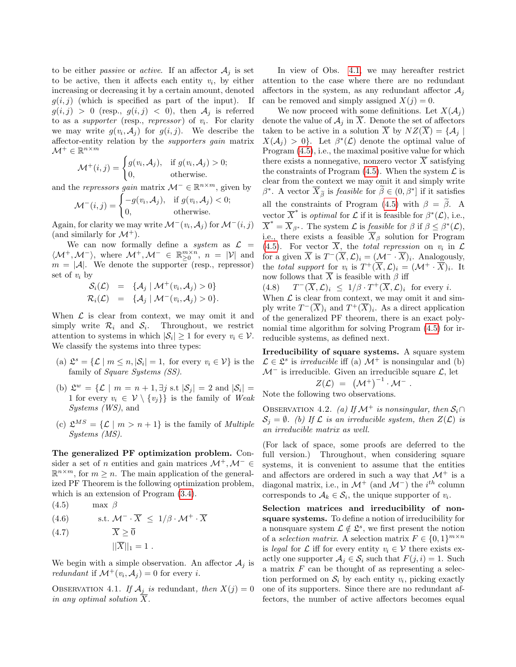to be either *passive* or *active*. If an affector  $A_i$  is set to be active, then it affects each entity  $v_i$ , by either increasing or decreasing it by a certain amount, denoted  $g(i, j)$  (which is specified as part of the input). If  $g(i, j) > 0$  (resp.,  $g(i, j) < 0$ ), then  $\mathcal{A}_j$  is referred to as a *supporter* (resp., *repressor*) of  $v_i$ . For clarity we may write  $g(v_i, \mathcal{A}_j)$  for  $g(i, j)$ . We describe the affector-entity relation by the supporters gain matrix  $\mathcal{M}^+ \in \mathbb{R}^{n \times m}$ 

$$
\mathcal{M}^+(i,j) = \begin{cases} g(v_i, \mathcal{A}_j), & \text{if } g(v_i, \mathcal{A}_j) > 0; \\ 0, & \text{otherwise.} \end{cases}
$$

and the *repressors gain* matrix  $\mathcal{M}^- \in \mathbb{R}^{n \times m}$ , given by

$$
\mathcal{M}^-(i,j) = \begin{cases} -g(v_i, \mathcal{A}_j), & \text{if } g(v_i, \mathcal{A}_j) < 0; \\ 0, & \text{otherwise.} \end{cases}
$$

Again, for clarity we may write  $\mathcal{M}^-(v_i, \mathcal{A}_j)$  for  $\mathcal{M}^-(i, j)$ (and similarly for  $\mathcal{M}^+$ ).

We can now formally define a system as  $\mathcal{L}$  =  $\langle \mathcal{M}^+, \mathcal{M}^- \rangle$ , where  $\mathcal{M}^+, \mathcal{M}^- \in \mathbb{R}_{\geq 0}^{m \times n}$ ,  $n = |\mathcal{V}|$  and  $m = |\mathcal{A}|$ . We denote the supporter (resp., repressor) set of  $v_i$  by

$$
\mathcal{S}_i(\mathcal{L}) = \{ \mathcal{A}_j \mid \mathcal{M}^+(v_i, \mathcal{A}_j) > 0 \}
$$
  

$$
\mathcal{R}_i(\mathcal{L}) = \{ \mathcal{A}_j \mid \mathcal{M}^-(v_i, \mathcal{A}_j) > 0 \}.
$$

When  $\mathcal L$  is clear from context, we may omit it and simply write  $\mathcal{R}_i$  and  $\mathcal{S}_i$ . Throughout, we restrict attention to systems in which  $|\mathcal{S}_i| \geq 1$  for every  $v_i \in \mathcal{V}$ . We classify the systems into three types:

- (a)  $\mathfrak{L}^s = \{ \mathcal{L} \mid m \leq n, |\mathcal{S}_i| = 1, \text{ for every } v_i \in \mathcal{V} \}$  is the family of *Square Systems (SS)*.
- (b)  $\mathfrak{L}^w = \{ \mathcal{L} \mid m = n + 1, \exists j \text{ s.t } |\mathcal{S}_j| = 2 \text{ and } |\mathcal{S}_i| =$ 1 for every  $v_i \in \mathcal{V} \setminus \{v_j\}$  is the family of Weak Systems *(WS)*, and
- (c)  $\mathfrak{L}^{MS} = \{ \mathcal{L} \mid m > n + 1 \}$  is the family of *Multiple* Systems (MS).

The generalized PF optimization problem. Consider a set of n entities and gain matrices  $\mathcal{M}^+$ ,  $\mathcal{M}^-$  ∈  $\mathbb{R}^{n \times m}$ , for  $m \geq n$ . The main application of the generalized PF Theorem is the following optimization problem, which is an extension of Program [\(3.4\)](#page-4-0).

<span id="page-5-1"></span>
$$
(4.5) \qquad \max \ \beta
$$

<span id="page-5-2"></span>(4.6) s.t. 
$$
\mathcal{M}^- \cdot \overline{X} \leq 1/\beta \cdot \mathcal{M}^+ \cdot \overline{X}
$$

<span id="page-5-3"></span> $\overline{X} \geq 0$  $||\overline{X}||_1 = 1$ .

We begin with a simple observation. An affector  $A_j$  is redundant if  $\mathcal{M}^+(v_i, \mathcal{A}_j) = 0$  for every *i*.

OBSERVATION 4.1. If  $\mathcal{A}_j$  is redundant, then  $X(j) = 0$ in any optimal solution X.

In view of Obs. [4.1,](#page-5-0) we may hereafter restrict attention to the case where there are no redundant affectors in the system, as any redundant affector  $A_i$ can be removed and simply assigned  $X(j) = 0$ .

We now proceed with some definitions. Let  $X(\mathcal{A}_i)$ denote the value of  $A_j$  in  $\overline{X}$ . Denote the set of affectors taken to be active in a solution  $\overline{X}$  by  $NZ(\overline{X}) = \{A_i \mid$  $X(\mathcal{A}_j) > 0$ . Let  $\beta^*(\mathcal{L})$  denote the optimal value of Program [\(4.5\)](#page-5-1), i.e., the maximal positive value for which there exists a nonnegative, nonzero vector  $\overline{X}$  satisfying the constraints of Program  $(4.5)$ . When the system  $\mathcal L$  is clear from the context we may omit it and simply write  $\beta^*$ . A vector  $\overline{X}_{\tilde{\beta}}$  is *feasible* for  $\beta \in (0, \beta^*]$  if it satisfies all the constraints of Program [\(4.5\)](#page-5-1) with  $\beta = \beta$ . A vector  $\overline{X}^*$  is *optimal* for  $\mathcal L$  if it is feasible for  $\beta^*(\mathcal L)$ , i.e.,  $\overline{X}^* = \overline{X}_{\beta^*}$ . The system  $\mathcal L$  is *feasible* for  $\beta$  if  $\beta \leq \beta^*(\mathcal L)$ , i.e., there exists a feasible  $\overline{X}_{\beta}$  solution for Program [\(4.5\)](#page-5-1). For vector  $\overline{X}$ , the *total repression* on  $v_i$  in  $\mathcal{L}$ for a given  $\overline{X}$  is  $T^{-}(\overline{X}, \mathcal{L})_i = (\mathcal{M}^{-} \cdot \overline{X})_i$ . Analogously, the total support for  $v_i$  is  $T^+(\overline{X}, \mathcal{L})_i = (\mathcal{M}^+ \cdot \overline{X})_i$ . It now follows that  $\overline{X}$  is feasible with  $\beta$  iff

<span id="page-5-4"></span> $(4.8)$  $^{-}(\overline{X}, \mathcal{L})_i \leq 1/\beta \cdot T^{+}(\overline{X}, \mathcal{L})_i$  for every *i*. When  $\mathcal L$  is clear from context, we may omit it and simply write  $T^{-}(\overline{X})_i$  and  $T^{+}(\overline{X})_i$ . As a direct application of the generalized PF theorem, there is an exact polynomial time algorithm for solving Program [\(4.5\)](#page-5-1) for irreducible systems, as defined next.

Irreducibility of square systems. A square system  $\mathcal{L} \in \mathcal{L}^s$  is *irreducible* iff (a)  $\mathcal{M}^+$  is nonsingular and (b)  $\mathcal{M}^-$  is irreducible. Given an irreducible square  $\mathcal{L}$ , let

$$
Z(\mathcal{L}) = (\mathcal{M}^+)^{-1} \cdot \mathcal{M}^-.
$$

Note the following two observations.

OBSERVATION 4.2. (a) If  $\mathcal{M}^+$  is nonsingular, then  $\mathcal{S}_i \cap$  $S_i = \emptyset$ . (b) If  $\mathcal L$  is an irreducible system, then  $Z(\mathcal L)$  is an irreducible matrix as well.

(For lack of space, some proofs are deferred to the full version.) Throughout, when considering square systems, it is convenient to assume that the entities and affectors are ordered in such a way that  $\mathcal{M}^+$  is a diagonal matrix, i.e., in  $\mathcal{M}^+$  (and  $\mathcal{M}^-$ ) the *i*<sup>th</sup> column corresponds to  $A_k \in S_i$ , the unique supporter of  $v_i$ .

<span id="page-5-0"></span>Selection matrices and irreducibility of nonsquare systems. To define a notion of irreducibility for a nonsquare system  $\mathcal{L} \notin \mathcal{L}^s$ , we first present the notion of a selection matrix. A selection matrix  $F \in \{0,1\}^{m \times n}$ is legal for  $\mathcal L$  iff for every entity  $v_i \in \mathcal V$  there exists exactly one supporter  $A_i \in \mathcal{S}_i$  such that  $F(j, i) = 1$ . Such a matrix  $F$  can be thought of as representing a selection performed on  $S_i$  by each entity  $v_i$ , picking exactly one of its supporters. Since there are no redundant affectors, the number of active affectors becomes equal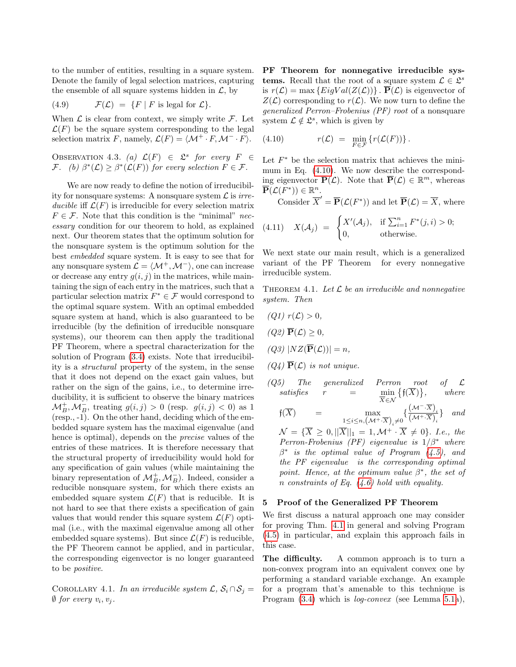to the number of entities, resulting in a square system. Denote the family of legal selection matrices, capturing the ensemble of all square systems hidden in  $\mathcal{L}$ , by

<span id="page-6-4"></span>(4.9) 
$$
\mathcal{F}(\mathcal{L}) = \{ F \mid F \text{ is legal for } \mathcal{L} \}.
$$

When  $\mathcal L$  is clear from context, we simply write  $\mathcal F$ . Let  $\mathcal{L}(F)$  be the square system corresponding to the legal selection matrix F, namely,  $\mathcal{L}(F) = \langle \mathcal{M}^+ \cdot F, \mathcal{M}^- \cdot F \rangle$ .

OBSERVATION 4.3. (a)  $\mathcal{L}(F) \in \mathfrak{L}^s$  for every  $F \in$ F. (b)  $\beta^*(\mathcal{L}) \geq \beta^*(\mathcal{L}(F))$  for every selection  $F \in \mathcal{F}$ .

We are now ready to define the notion of irreducibility for nonsquare systems: A nonsquare system  $\mathcal{L}$  is *irre*ducible iff  $\mathcal{L}(F)$  is irreducible for every selection matrix  $F \in \mathcal{F}$ . Note that this condition is the "minimal" necessary condition for our theorem to hold, as explained next. Our theorem states that the optimum solution for the nonsquare system is the optimum solution for the best embedded square system. It is easy to see that for any nonsquare system  $\mathcal{L} = \langle \mathcal{M}^+, \mathcal{M}^-\rangle$ , one can increase or decrease any entry  $g(i, j)$  in the matrices, while maintaining the sign of each entry in the matrices, such that a particular selection matrix  $F^* \in \mathcal{F}$  would correspond to the optimal square system. With an optimal embedded square system at hand, which is also guaranteed to be irreducible (by the definition of irreducible nonsquare systems), our theorem can then apply the traditional PF Theorem, where a spectral characterization for the solution of Program [\(3.4\)](#page-4-0) exists. Note that irreducibility is a structural property of the system, in the sense that it does not depend on the exact gain values, but rather on the sign of the gains, i.e., to determine irreducibility, it is sufficient to observe the binary matrices  $\mathcal{M}_B^+$ ,  $\mathcal{M}_B^-$ , treating  $g(i, j) > 0$  (resp.  $g(i, j) < 0$ ) as 1 (resp., -1). On the other hand, deciding which of the embedded square system has the maximal eigenvalue (and hence is optimal), depends on the precise values of the entries of these matrices. It is therefore necessary that the structural property of irreducibility would hold for any specification of gain values (while maintaining the binary representation of  $\mathcal{M}_B^+$ ,  $\mathcal{M}_B^-$ ). Indeed, consider a reducible nonsquare system, for which there exists an embedded square system  $\mathcal{L}(F)$  that is reducible. It is not hard to see that there exists a specification of gain values that would render this square system  $\mathcal{L}(F)$  optimal (i.e., with the maximal eigenvalue among all other embedded square systems). But since  $\mathcal{L}(F)$  is reducible, the PF Theorem cannot be applied, and in particular, the corresponding eigenvector is no longer guaranteed to be positive.

<span id="page-6-1"></span>COROLLARY 4.1. In an irreducible system  $\mathcal{L}, \mathcal{S}_i \cap \mathcal{S}_i =$  $\emptyset$  for every  $v_i, v_j$ .

PF Theorem for nonnegative irreducible systems. Recall that the root of a square system  $\mathcal{L} \in \mathcal{L}^s$ is  $r(\mathcal{L}) = \max \{ EigVal(Z(\mathcal{L})) \}$ .  $\overline{\mathbf{P}}(\mathcal{L})$  is eigenvector of  $Z(\mathcal{L})$  corresponding to  $r(\mathcal{L})$ . We now turn to define the generalized Perron–Frobenius (PF) root of a nonsquare system  $\mathcal{L} \notin \mathfrak{L}^s$ , which is given by

<span id="page-6-3"></span><span id="page-6-0"></span>(4.10) 
$$
r(\mathcal{L}) = \min_{F \in \mathcal{F}} \left\{ r(\mathcal{L}(F)) \right\}.
$$

Let  $F^*$  be the selection matrix that achieves the minimum in Eq. [\(4.10\)](#page-6-0). We now describe the corresponding eigenvector  $\overline{\mathbf{P}}(\mathcal{L})$ . Note that  $\overline{\mathbf{P}}(\mathcal{L}) \in \mathbb{R}^m$ , whereas  $\overline{\mathbf{P}}(\mathcal{L}(F^*)) \in \mathbb{R}^n$ .

Consider 
$$
\overline{X}' = \overline{P}(\mathcal{L}(F^*))
$$
 and let  $\overline{P}(\mathcal{L}) = \overline{X}$ , where

<span id="page-6-2"></span>
$$
(4.11) \quad X(\mathcal{A}_j) = \begin{cases} X'(\mathcal{A}_j), & \text{if } \sum_{i=1}^n F^*(j, i) > 0; \\ 0, & \text{otherwise.} \end{cases}
$$

We next state our main result, which is a generalized variant of the PF Theorem for every nonnegative irreducible system.

THEOREM 4.1. Let  $\mathcal L$  be an irreducible and nonnegative system. Then

- $(Q1)$   $r(\mathcal{L}) > 0$ ,  $(Q2)\ \overline{\mathbf{P}}(\mathcal{L}) \geq 0,$  $\left( Q3\right) \,|NZ(\overline{\mathbf{P}}(\mathcal{L}))|=n,$  $(Q_4) \overline{\mathbf{P}}(\mathcal{L})$  is not unique.  $(Q5)$  The generalized Perron root of  $\mathcal L$
- $satisfies$   $r =$  $X {\in} \mathcal{N}$  $\{f(\overline{X})\}$ , where  $f(\overline{X})$  = max  $\max_{1 \leq i \leq n, (\mathcal{M}^+ \cdot \overline{X})_i \neq 0} \left\{ \frac{(\mathcal{M}^- \cdot \overline{X})_i}{(\mathcal{M}^+ \cdot \overline{X})_i} \right\}$ and

 $\mathcal{N} = {\overline{X} \geq 0, ||\overline{X}||_1 = 1, \mathcal{M}^+ \cdot \overline{X} \neq 0}.$  I.e., the Perron-Frobenius  $(PF)$  eigenvalue is  $1/\beta^*$  where  $\beta^*$  is the optimal value of Program  $(4.5)$ , and the PF eigenvalue is the corresponding optimal point. Hence, at the optimum value  $\beta^*$ , the set of n constraints of Eq.  $(4.6)$  hold with equality.

# 5 Proof of the Generalized PF Theorem

We first discuss a natural approach one may consider for proving Thm. [4.1](#page-1-2) in general and solving Program [\(4.5\)](#page-5-1) in particular, and explain this approach fails in this case.

The difficulty. A common approach is to turn a non-convex program into an equivalent convex one by performing a standard variable exchange. An example for a program that's amenable to this technique is Program  $(3.4)$  which is *log-convex* (see Lemma [5.1a](#page-8-0)),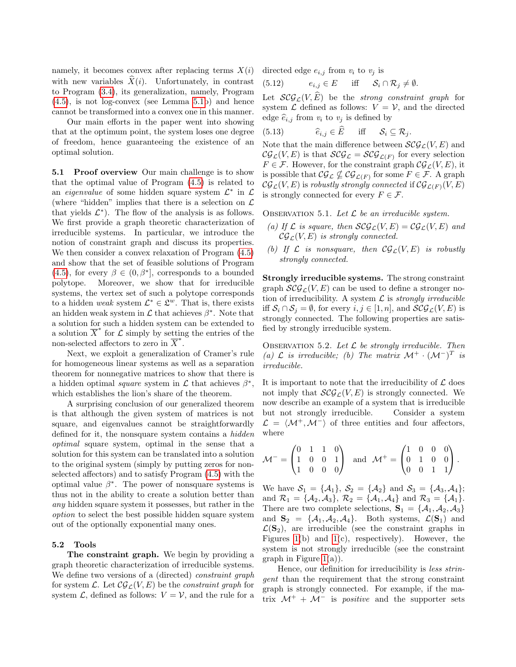namely, it becomes convex after replacing terms  $X(i)$ with new variables  $\hat{X}(i)$ . Unfortunately, in contrast to Program [\(3.4\)](#page-4-0), its generalization, namely, Program [\(4.5\)](#page-5-1), is not log-convex (see Lemma [5.1b](#page-8-0)) and hence cannot be transformed into a convex one in this manner.

Our main efforts in the paper went into showing that at the optimum point, the system loses one degree of freedom, hence guaranteeing the existence of an optimal solution.

**5.1 Proof overview** Our main challenge is to show that the optimal value of Program [\(4.5\)](#page-5-1) is related to an *eigenvalue* of some hidden square system  $\mathcal{L}^*$  in  $\mathcal{L}$ (where "hidden" implies that there is a selection on  $\mathcal L$ that yields  $\mathcal{L}^*$ ). The flow of the analysis is as follows. We first provide a graph theoretic characterization of irreducible systems. In particular, we introduce the notion of constraint graph and discuss its properties. We then consider a convex relaxation of Program [\(4.5\)](#page-5-1) and show that the set of feasible solutions of Program [\(4.5\)](#page-5-1), for every  $\beta \in (0, \beta^*]$ , corresponds to a bounded polytope. Moreover, we show that for irreducible systems, the vertex set of such a polytope corresponds to a hidden weak system  $\mathcal{L}^* \in \mathfrak{L}^w$ . That is, there exists an hidden weak system in  $\mathcal L$  that achieves  $\beta^*$ . Note that a solution for such a hidden system can be extended to a solution  $\overline{X}^*$  for  $\mathcal L$  simply by setting the entries of the non-selected affectors to zero in  $\overline{X}^*$ .

Next, we exploit a generalization of Cramer's rule for homogeneous linear systems as well as a separation theorem for nonnegative matrices to show that there is a hidden optimal *square* system in  $\mathcal L$  that achieves  $\beta^*$ , which establishes the lion's share of the theorem.

A surprising conclusion of our generalized theorem is that although the given system of matrices is not square, and eigenvalues cannot be straightforwardly defined for it, the nonsquare system contains a hidden optimal square system, optimal in the sense that a solution for this system can be translated into a solution to the original system (simply by putting zeros for nonselected affectors) and to satisfy Program [\(4.5\)](#page-5-1) with the optimal value  $\beta^*$ . The power of nonsquare systems is thus not in the ability to create a solution better than any hidden square system it possesses, but rather in the option to select the best possible hidden square system out of the optionally exponential many ones.

#### 5.2 Tools

The constraint graph. We begin by providing a graph theoretic characterization of irreducible systems. We define two versions of a (directed) *constraint graph* for system  $\mathcal{L}$ . Let  $\mathcal{CG}_{\mathcal{L}}(V, E)$  be the *constraint graph* for system  $\mathcal{L}$ , defined as follows:  $V = \mathcal{V}$ , and the rule for a directed edge  $e_{i,j}$  from  $v_i$  to  $v_j$  is

(5.12) 
$$
e_{i,j} \in E \quad \text{iff} \quad \mathcal{S}_i \cap \mathcal{R}_j \neq \emptyset.
$$

Let  $\mathcal{SCG}_{\mathcal{L}}(V, \widehat{E})$  be the strong constraint graph for system  $\mathcal L$  defined as follows:  $V = \mathcal V$ , and the directed edge  $\widehat{e}_{i,j}$  from  $v_i$  to  $v_j$  is defined by

$$
(5.13) \qquad \widehat{e}_{i,j} \in \widehat{E} \quad \text{iff} \quad \mathcal{S}_i \subseteq \mathcal{R}_j.
$$

Note that the main difference between  $\mathcal{SCG}_{\mathcal{L}}(V, E)$  and  $\mathcal{CG}_{\mathcal{L}}(V, E)$  is that  $\mathcal{SCG}_{\mathcal{L}} = \mathcal{SCG}_{\mathcal{L}(F)}$  for every selection  $F \in \mathcal{F}$ . However, for the constraint graph  $\mathcal{CG}_{\mathcal{L}}(V, E)$ , it is possible that  $\mathcal{CG}_{\mathcal{L}} \nsubseteq \mathcal{CG}_{\mathcal{L}(F)}$  for some  $F \in \mathcal{F}$ . A graph  $\mathcal{CG}_{\mathcal{L}}(V, E)$  is robustly strongly connected if  $\mathcal{CG}_{\mathcal{L}(F)}(V, E)$ is strongly connected for every  $F \in \mathcal{F}$ .

<span id="page-7-0"></span>OBSERVATION 5.1. Let  $\mathcal L$  be an irreducible system.

- (a) If  $\mathcal L$  is square, then  $SCG_{\mathcal L}(V, E) = CG_{\mathcal L}(V, E)$  and  $\mathcal{CG}_{\mathcal{L}}(V, E)$  is strongly connected.
- (b) If  $\mathcal L$  is nonsquare, then  $\mathcal{CG}_{\mathcal L}(V, E)$  is robustly strongly connected.

Strongly irreducible systems. The strong constraint graph  $\mathcal{SCG}_{\mathcal{L}}(V, E)$  can be used to define a stronger notion of irreducibility. A system  $\mathcal L$  is strongly irreducible iff  $S_i \cap S_j = \emptyset$ , for every  $i, j \in [1, n]$ , and  $\mathcal{SCG}_{\mathcal{L}}(V, E)$  is strongly connected. The following properties are satisfied by strongly irreducible system.

OBSERVATION 5.2. Let  $\mathcal L$  be strongly irreducible. Then (a)  $\mathcal L$  is irreducible; (b) The matrix  $\mathcal M^+ \cdot (\mathcal M^-)^T$  is irreducible.

It is important to note that the irreducibility of  $\mathcal L$  does not imply that  $\mathcal{SCG}_{\mathcal{L}}(V, E)$  is strongly connected. We now describe an example of a system that is irreducible but not strongly irreducible. Consider a system  $\mathcal{L} = \langle \mathcal{M}^+, \mathcal{M}^- \rangle$  of three entities and four affectors, where

$$
\mathcal{M}^- = \begin{pmatrix} 0 & 1 & 1 & 0 \\ 1 & 0 & 0 & 1 \\ 1 & 0 & 0 & 0 \end{pmatrix} \text{ and } \mathcal{M}^+ = \begin{pmatrix} 1 & 0 & 0 & 0 \\ 0 & 1 & 0 & 0 \\ 0 & 0 & 1 & 1 \end{pmatrix}.
$$

We have  $S_1 = \{A_1\}, S_2 = \{A_2\}$  and  $S_3 = \{A_3, A_4\};$ and  $\mathcal{R}_1 = {\mathcal{A}_2, \mathcal{A}_3}$ ,  $\mathcal{R}_2 = {\mathcal{A}_1, \mathcal{A}_4}$  and  $\mathcal{R}_3 = {\mathcal{A}_1}.$ There are two complete selections,  $S_1 = \{A_1, A_2, A_3\}$ and  $S_2 = \{A_1, A_2, A_4\}$ . Both systems,  $\mathcal{L}(S_1)$  and  $\mathcal{L}(\mathbf{S}_2)$ , are irreducible (see the constraint graphs in Figures [1\(](#page-8-1)b) and 1(c), respectively). However, the system is not strongly irreducible (see the constraint graph in Figure  $1(a)$ ).

Hence, our definition for irreducibility is less stringent than the requirement that the strong constraint graph is strongly connected. For example, if the matrix  $\mathcal{M}^+$  +  $\mathcal{M}^-$  is *positive* and the supporter sets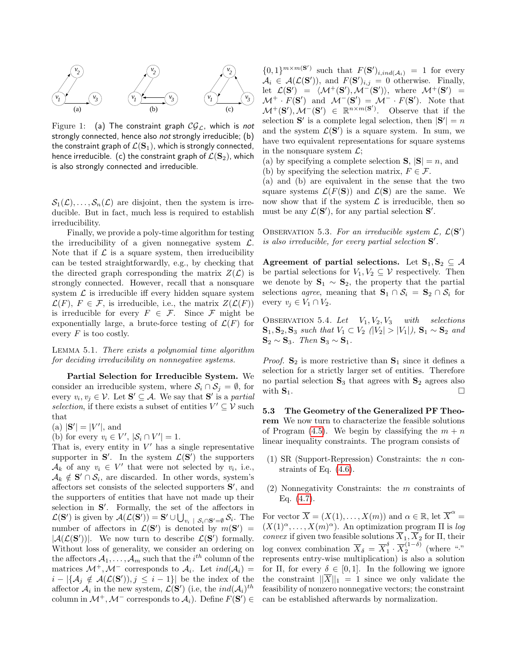<span id="page-8-1"></span>

Figure 1: (a) The constraint graph  $\mathcal{CG}_{\mathcal{L}}$ , which is not strongly connected, hence also not strongly irreducible; (b) the constraint graph of  $\mathcal{L}(\mathbf{S}_1)$ , which is strongly connected, hence irreducible. (c) the constraint graph of  $\mathcal{L}(\mathbf{S}_2)$ , which is also strongly connected and irreducible.

 $S_1(\mathcal{L}), \ldots, S_n(\mathcal{L})$  are disjoint, then the system is irreducible. But in fact, much less is required to establish irreducibility.

Finally, we provide a poly-time algorithm for testing the irreducibility of a given nonnegative system  $\mathcal{L}$ . Note that if  $\mathcal L$  is a square system, then irreducibility can be tested straightforwardly, e.g., by checking that the directed graph corresponding the matrix  $Z(\mathcal{L})$  is strongly connected. However, recall that a nonsquare system  $\mathcal L$  is irreducible iff every hidden square system  $\mathcal{L}(F)$ ,  $F \in \mathcal{F}$ , is irreducible, i.e., the matrix  $Z(\mathcal{L}(F))$ is irreducible for every  $F \in \mathcal{F}$ . Since  $\mathcal{F}$  might be exponentially large, a brute-force testing of  $\mathcal{L}(F)$  for every  $F$  is too costly.

Lemma 5.1. There exists a polynomial time algorithm for deciding irreducibility on nonnegative systems.

Partial Selection for Irreducible System. We consider an irreducible system, where  $S_i \cap S_j = \emptyset$ , for every  $v_i, v_j \in \mathcal{V}$ . Let  $\mathbf{S}' \subseteq \mathcal{A}$ . We say that  $\mathbf{S}'$  is a partial selection, if there exists a subset of entities  $V' \subseteq V$  such that

(a)  $|S'| = |V'|$ , and

(b) for every  $v_i \in V', |\mathcal{S}_i \cap V'| = 1.$ 

That is, every entity in  $V'$  has a single representative supporter in  $S'$ . In the system  $\mathcal{L}(S')$  the supporters  $\mathcal{A}_k$  of any  $v_i \in V'$  that were not selected by  $v_i$ , i.e.,  $\mathcal{A}_k \notin \mathbf{S}' \cap \mathcal{S}_i$ , are discarded. In other words, system's affectors set consists of the selected supporters  $S'$ , and the supporters of entities that have not made up their selection in S'. Formally, the set of the affectors in  $\mathcal{L}(\mathbf{S}')$  is given by  $\mathcal{A}(\mathcal{L}(\mathbf{S}')) = \mathbf{S}' \cup \bigcup_{v_i} S_{\tilde{i}} \cap \mathbf{S}' = \emptyset \mathcal{S}_i$ . The number of affectors in  $\mathcal{L}(\mathbf{S}')$  is denoted by  $m(\mathbf{S}') =$  $|\mathcal{A}(\mathcal{L}(\mathbf{S}'))|$ . We now turn to describe  $\mathcal{L}(\mathbf{S}')$  formally. Without loss of generality, we consider an ordering on the affectors  $A_1, \ldots, A_m$  such that the  $i^{th}$  column of the matrices  $\mathcal{M}^+$ ,  $\mathcal{M}^-$  corresponds to  $\mathcal{A}_i$ . Let  $ind(\mathcal{A}_i)$  =  $i - |\{\mathcal{A}_j \notin \mathcal{A}(\mathcal{L}(\mathbf{S}'))\}, j \leq i - 1\}|$  be the index of the affector  $\mathcal{A}_i$  in the new system,  $\mathcal{L}(\mathbf{S}')$  (i.e., the  $ind(\mathcal{A}_i)^{th}$ column in  $\mathcal{M}^+$ ,  $\mathcal{M}^-$  corresponds to  $\mathcal{A}_i$ ). Define  $F(\mathbf{S}') \in$ 

 $\{0,1\}^{m \times m(S')}$  such that  $F(S')_{i,ind(\mathcal{A}_i)} = 1$  for every  $A_i \in \mathcal{A}(\mathcal{L}(\mathbf{S}'))$ , and  $F(\mathbf{S}')_{i,j} = 0$  otherwise. Finally, let  $\mathcal{L}(\mathbf{S}') = (\mathcal{M}^+(\mathbf{S}'), \mathcal{M}^-(\mathbf{S}'))$ , where  $\mathcal{M}^+(\mathbf{S}') =$  $\mathcal{M}^+ \cdot F(\mathbf{S}')$  and  $\mathcal{M}^-(\mathbf{S}') = \mathcal{M}^- \cdot F(\mathbf{S}')$ . Note that  $\mathcal{M}^+(\mathbf{S}'), \mathcal{M}^-(\mathbf{S}') \in \mathbb{R}^{n \times m(\mathbf{S}')}$ . Observe that if the selection **S'** is a complete legal selection, then  $|\mathbf{S}'| = n$ and the system  $\mathcal{L}(\mathbf{S}')$  is a square system. In sum, we have two equivalent representations for square systems in the nonsquare system  $\mathcal{L}$ ;

(a) by specifying a complete selection  $S, |S| = n$ , and (b) by specifying the selection matrix,  $F \in \mathcal{F}$ .

(a) and (b) are equivalent in the sense that the two square systems  $\mathcal{L}(F(S))$  and  $\mathcal{L}(S)$  are the same. We now show that if the system  $\mathcal L$  is irreducible, then so must be any  $\mathcal{L}(\mathbf{S}')$ , for any partial selection  $\mathbf{S}'$ .

<span id="page-8-2"></span>OBSERVATION 5.3. For an irreducible system  $\mathcal{L}, \mathcal{L}(\mathbf{S}')$ is also irreducible, for every partial selection  $S'$ .

Agreement of partial selections. Let  $S_1, S_2 \subseteq A$ be partial selections for  $V_1, V_2 \subseteq V$  respectively. Then we denote by  $\mathbf{S}_1 \sim \mathbf{S}_2$ , the property that the partial selections *agree*, meaning that  $\mathbf{S}_1 \cap \mathcal{S}_i = \mathbf{S}_2 \cap \mathcal{S}_i$  for every  $v_i \in V_1 \cap V_2$ .

OBSERVATION 5.4. Let  $V_1, V_2, V_3$  with selections  $\mathbf{S}_1, \mathbf{S}_2, \mathbf{S}_3$  such that  $V_1 \subset V_2$  ( $|V_2| > |V_1|$ ),  $\mathbf{S}_1 \sim \mathbf{S}_2$  and  $\mathbf{S}_2 \sim \mathbf{S}_3$ . Then  $\mathbf{S}_3 \sim \mathbf{S}_1$ .

*Proof.*  $S_2$  is more restrictive than  $S_1$  since it defines a selection for a strictly larger set of entities. Therefore no partial selection  $S_3$  that agrees with  $S_2$  agrees also with  $S_1$ .

5.3 The Geometry of the Generalized PF Theorem We now turn to characterize the feasible solutions of Program [\(4.5\)](#page-5-1). We begin by classifying the  $m + n$ linear inequality constraints. The program consists of

- (1) SR (Support-Repression) Constraints: the n constraints of Eq. [\(4.6\)](#page-5-2).
- (2) Nonnegativity Constraints: the m constraints of Eq. [\(4.7\)](#page-5-3).

<span id="page-8-0"></span>For vector  $\overline{X} = (X(1), \ldots, X(m))$  and  $\alpha \in \mathbb{R}$ , let  $\overline{X}^{\alpha} =$  $(X(1)^\alpha, \ldots, X(m)^\alpha)$ . An optimization program  $\Pi$  is log *convex* if given two feasible solutions  $\overline{X}_1, \overline{X}_2$  for  $\Pi$ , their log convex combination  $\overline{X}_{\delta} = \overline{X}_{1}^{\delta}$  $\frac{\delta}{1} \cdot \overline{X}_2^{(1-\delta)}$  $\frac{1}{2}$  (where "." represents entry-wise multiplication) is also a solution for Π, for every  $\delta \in [0,1]$ . In the following we ignore the constraint  $||\overline{X}||_1 = 1$  since we only validate the feasibility of nonzero nonnegative vectors; the constraint can be established afterwards by normalization.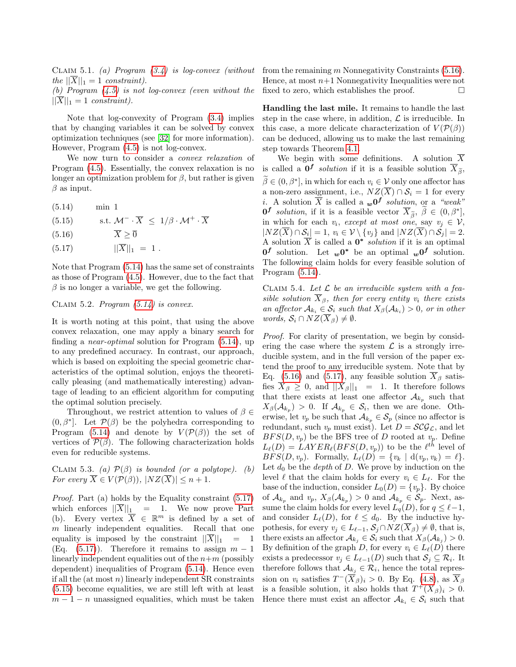CLAIM 5.1. (a) Program  $(3.4)$  is log-convex (without the  $||\overline{X}||_1 = 1$  constraint).

(b) Program [\(4.5\)](#page-5-1) is not log-convex (even without the  $||X||_1 = 1$  constraint).

Note that log-convexity of Program [\(3.4\)](#page-4-0) implies that by changing variables it can be solved by convex optimization techniques (see [\[32\]](#page-19-22) for more information). However, Program [\(4.5\)](#page-5-1) is not log-convex.

We now turn to consider a convex relaxation of Program [\(4.5\)](#page-5-1). Essentially, the convex relaxation is no longer an optimization problem for  $\beta$ , but rather is given  $\beta$  as input.

<span id="page-9-0"></span>
$$
(5.14) \qquad \text{min } 1
$$

<span id="page-9-2"></span>(5.15) s.t. 
$$
\mathcal{M}^- \cdot \overline{X} \leq 1/\beta \cdot \mathcal{M}^+ \cdot \overline{X}
$$

<span id="page-9-3"></span>(5.16)  $\overline{X} \geq \overline{0}$ 

<span id="page-9-1"></span>
$$
(5.17) \t\t ||\overline{X}||_1 = 1.
$$

Note that Program [\(5.14\)](#page-9-0) has the same set of constraints as those of Program [\(4.5\)](#page-5-1). However, due to the fact that  $\beta$  is no longer a variable, we get the following.

## CLAIM 5.2. Program  $(5.14)$  is convex.

It is worth noting at this point, that using the above convex relaxation, one may apply a binary search for finding a near-optimal solution for Program [\(5.14\)](#page-9-0), up to any predefined accuracy. In contrast, our approach, which is based on exploiting the special geometric characteristics of the optimal solution, enjoys the theoretically pleasing (and mathematically interesting) advantage of leading to an efficient algorithm for computing the optimal solution precisely.

Throughout, we restrict attention to values of  $\beta \in$  $(0, \beta^*]$ . Let  $\mathcal{P}(\beta)$  be the polyhedra corresponding to Program [\(5.14\)](#page-9-0) and denote by  $V(\mathcal{P}(\beta))$  the set of vertices of  $\mathcal{P}(\beta)$ . The following characterization holds even for reducible systems.

<span id="page-9-4"></span>CLAIM 5.3. (a)  $\mathcal{P}(\beta)$  is bounded (or a polytope). (b) For every  $\overline{X} \in V(\mathcal{P}(\beta)), |NZ(\overline{X})| \leq n+1.$ 

Proof. Part (a) holds by the Equality constraint [\(5.17\)](#page-9-1) which enforces  $||\overline{X}||_1 = 1$ . We now prove Part (b). Every vertex  $\overline{X} \in \mathbb{R}^m$  is defined by a set of  $m$  linearly independent equalities. Recall that one equality is imposed by the constraint  $||\overline{X}||_1 = 1$ (Eq.  $(5.17)$ ). Therefore it remains to assign  $m-1$ linearly independent equalities out of the  $n+m$  (possibly dependent) inequalities of Program [\(5.14\)](#page-9-0). Hence even if all the  $(at most n)$  linearly independent SR constraints [\(5.15\)](#page-9-2) become equalities, we are still left with at least  $m-1-n$  unassigned equalities, which must be taken from the remaining  $m$  Nonnegativity Constraints  $(5.16)$ . Hence, at most  $n+1$  Nonnegativity Inequalities were not fixed to zero, which establishes the proof.  $\Box$ 

Handling the last mile. It remains to handle the last step in the case where, in addition,  $\mathcal{L}$  is irreducible. In this case, a more delicate characterization of  $V(\mathcal{P}(\beta))$ can be deduced, allowing us to make the last remaining step towards Theorem [4.1.](#page-1-2)

We begin with some definitions. A solution  $\overline{X}$ is called a  $\mathbf{0}^f$  *solution* if it is a feasible solution  $\overline{X}_{\widetilde{\beta}}$ ,  $\widetilde{\beta} \in (0, \beta^*],$  in which for each  $v_i \in \mathcal{V}$  only one affector has a non-zero assignment, i.e.,  $NZ(\overline{X}) \cap \mathcal{S}_i = 1$  for every *i*. A solution  $\overline{X}$  is called a  $_w0^f$  solution, or a "weak" **0<sup>f</sup>** solution, if it is a feasible vector  $\overline{X}_{\tilde{\beta}}$ ,  $\tilde{\beta}$  ∈ (0,  $\beta^*$ ), in which for so h we consert to word  $\tilde{\beta}$ ,  $\tilde{\beta}$  ∈ (0,  $\beta^*$ ), in which for each  $v_i$ , except at most one, say  $v_j \in V$ ,  $|NZ(\overline{X}) \cap \mathcal{S}_i| = 1, v_i \in \mathcal{V} \setminus \{v_j\}$  and  $|NZ(\overline{X}) \cap \mathcal{S}_j| = 2$ . A solution  $\overline{X}$  is called a  $0^*$  *solution* if it is an optimal  $\mathbf{0}^f$  solution. Let  $_w\mathbf{0}^*$  be an optimal  $_w\mathbf{0}^f$  solution. The following claim holds for every feasible solution of Program [\(5.14\)](#page-9-0).

<span id="page-9-5"></span>CLAIM 5.4. Let  $\mathcal L$  be an irreducible system with a feasible solution  $\overline{X}_{\beta}$ , then for every entity  $v_i$  there exists an affector  $A_{k_i} \in S_i$  such that  $X_\beta(A_{k_i}) > 0$ , or in other words,  $S_i \cap NZ(\overline{X}_{\beta}) \neq \emptyset$ .

Proof. For clarity of presentation, we begin by considering the case where the system  $\mathcal L$  is a strongly irreducible system, and in the full version of the paper extend the proof to any irreducible system. Note that by Eq. [\(5.16\)](#page-9-3) and [\(5.17\)](#page-9-1), any feasible solution  $\overline{X}_{\beta}$  satisfies  $\overline{X}_{\beta} \geq 0$ , and  $\|\overline{X}_{\beta}\|_1 = 1$ . It therefore follows that there exists at least one affector  $\mathcal{A}_{k_p}$  such that  $X_{\beta}(\mathcal{A}_{k_p}) > 0$ . If  $\mathcal{A}_{k_p} \in \mathcal{S}_i$ , then we are done. Otherwise, let  $v_p$  be such that  $\mathcal{A}_{k_p} \in \mathcal{S}_p$  (since no affector is redundant, such  $v_p$  must exist). Let  $D = \mathcal{SCG}_{\mathcal{L}}$ , and let  $BFS(D, v_p)$  be the BFS tree of D rooted at  $v_p$ . Define  $L_{\ell}(D) = LAYER_{\ell}(BFS(D, v_p))$  to be the  $\ell^{th}$  level of  $BFS(D, v_p)$ . Formally,  $L_{\ell}(D) = \{v_k \mid d(v_p, v_k) = \ell\}.$ Let  $d_0$  be the *depth* of D. We prove by induction on the level  $\ell$  that the claim holds for every  $v_i \in L_{\ell}$ . For the base of the induction, consider  $L_0(D) = \{v_p\}$ . By choice of  $\mathcal{A}_{k_p}$  and  $v_p$ ,  $X_\beta(\mathcal{A}_{k_p}) > 0$  and  $\mathcal{A}_{k_p} \in \mathcal{S}_p$ . Next, assume the claim holds for every level  $L_q(D)$ , for  $q \leq \ell-1$ , and consider  $L_{\ell}(D)$ , for  $\ell \leq d_0$ . By the inductive hypothesis, for every  $v_j \in L_{\ell-1}$ ,  $S_j \cap NZ(\overline{X}_{\beta}) \neq \emptyset$ , that is, there exists an affector  $\mathcal{A}_{k_j} \in \mathcal{S}_i$  such that  $X_\beta(\mathcal{A}_{k_j}) > 0$ . By definition of the graph D, for every  $v_i \in L_{\ell}(D)$  there exists a predecessor  $v_j \in L_{\ell-1}(D)$  such that  $\mathcal{S}_j \subseteq \mathcal{R}_i$ . It therefore follows that  $A_{k_j} \in \mathcal{R}_i$ , hence the total repression on  $v_i$  satisfies  $T^{-}(\overline{X}_{\beta})_i > 0$ . By Eq. [\(4.8\)](#page-5-4), as  $\overline{X}_{\beta}$ is a feasible solution, it also holds that  $T^+(\overline{X}_{\beta})_i > 0$ . Hence there must exist an affector  $A_{k_i} \in \mathcal{S}_i$  such that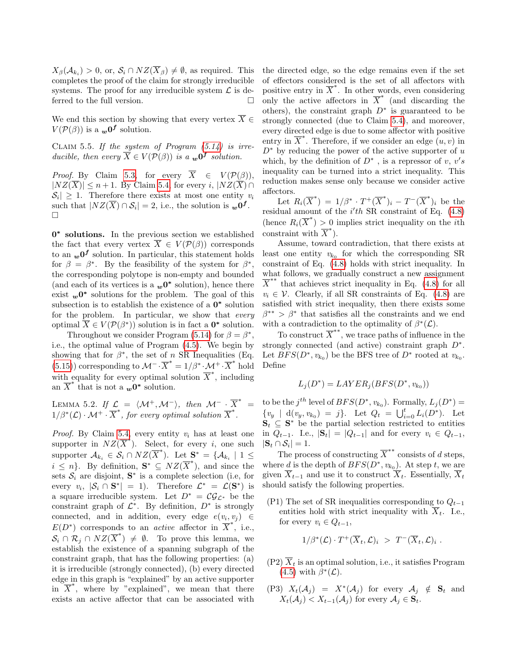$X_{\beta}(\mathcal{A}_{k_i}) > 0$ , or,  $\mathcal{S}_i \cap NZ(\overline{X}_{\beta}) \neq \emptyset$ , as required. This completes the proof of the claim for strongly irreducible systems. The proof for any irreducible system  $\mathcal L$  is deferred to the full version.  $\Box$ 

We end this section by showing that every vertex  $\overline{X} \in$  $V(\mathcal{P}(\beta))$  is a  $_{w}0^{f}$  solution.

CLAIM 5.5. If the system of Program  $(5.14)$  is irreducible, then every  $\overline{X} \in V(\mathcal{P}(\beta))$  is a  $_{w}0^{f}$  solution.

*Proof.* By Claim [5.3,](#page-9-4) for every  $\overline{X} \in V(\mathcal{P}(\beta)),$  $|NZ(\overline{X})| \leq n+1$ . By Claim [5.4,](#page-9-5) for every i,  $|NZ(\overline{X}) \cap$  $|\mathcal{S}_i| \geq 1$ . Therefore there exists at most one entity  $v_i$ such that  $|NZ(\overline{X}) \cap S_i| = 2$ , i.e., the solution is  $w0^f$ .  $\Box$ 

0 ∗ solutions. In the previous section we established the fact that every vertex  $\overline{X} \in V(\mathcal{P}(\beta))$  corresponds to an  $_w0^f$  solution. In particular, this statement holds for  $\beta = \beta^*$ . By the feasibility of the system for  $\beta^*$ , the corresponding polytope is non-empty and bounded (and each of its vertices is a  $_w0^*$  solution), hence there exist  $w0^*$  solutions for the problem. The goal of this subsection is to establish the existence of a  $0^*$  solution for the problem. In particular, we show that every optimal  $\overline{X} \in V(\mathcal{P}(\beta^*))$  solution is in fact a  $\mathbf{0}^*$  solution.

Throughout we consider Program [\(5.14\)](#page-9-0) for  $\beta = \beta^*$ , i.e., the optimal value of Program [\(4.5\)](#page-5-1). We begin by showing that for  $\beta^*$ , the set of n SR Inequalities (Eq. [\(5.15\)](#page-9-2)) corresponding to  $\mathcal{M}^- \cdot \overline{X}^* = 1/\beta^* \cdot \mathcal{M}^+ \cdot \overline{X}^*$  hold with equality for every optimal solution  $\overline{X}^*$ , including an  $\overline{X}^*$  that is not a  $_w0^*$  solution.

LEMMA 5.2. If  $\mathcal{L} = \langle \mathcal{M}^+, \mathcal{M}^-\rangle$ , then  $\mathcal{M}^- \cdot \overline{X}^* =$  $1/\beta^*(\mathcal{L})\cdot \mathcal{M}^+ \cdot \overline{X}^*$ , for every optimal solution  $\overline{X}^*$ .

*Proof.* By Claim [5.4,](#page-9-5) every entity  $v_i$  has at least one supporter in  $NZ(\overline{X}^*)$ . Select, for every *i*, one such supporter  $A_{k_i} \in S_i \cap NZ(\overline{X}^*)$ . Let  $\mathbf{S}^* = \{A_{k_i} \mid 1 \leq$  $i \leq n$ . By definition,  $\mathbf{S}^* \subseteq NZ(\overline{X}^*)$ , and since the sets  $S_i$  are disjoint,  $S^*$  is a complete selection (i.e, for every  $v_i, |\mathcal{S}_i \cap \mathbf{S}^*| = 1$ . Therefore  $\mathcal{L}^* = \mathcal{L}(\mathbf{S}^*)$  is a square irreducible system. Let  $D^* = \mathcal{CG}_{\mathcal{L}^*}$  be the constraint graph of  $\mathcal{L}^*$ . By definition,  $D^*$  is strongly connected, and in addition, every edge  $e(v_i, v_j) \in$  $E(D^*)$  corresponds to an *active* affector in  $\overline{X}^*$ , i.e.,  $\mathcal{S}_i \cap \mathcal{R}_j \cap \overline{N} \mathcal{Z}(\overline{X}^*) \neq \emptyset$ . To prove this lemma, we establish the existence of a spanning subgraph of the constraint graph, that has the following properties: (a) it is irreducible (strongly connected), (b) every directed edge in this graph is "explained" by an active supporter in  $\overline{X}^*$ , where by "explained", we mean that there exists an active affector that can be associated with

the directed edge, so the edge remains even if the set of effectors considered is the set of all affectors with positive entry in  $\overline{X}^*$ . In other words, even considering only the active affectors in  $\overline{X}^*$  (and discarding the others), the constraint graph  $D^*$  is guaranteed to be strongly connected (due to Claim [5.4\)](#page-9-5), and moreover, every directed edge is due to some affector with positive entry in  $\overline{X}^*$ . Therefore, if we consider an edge  $(u, v)$  in  $D^*$  by reducing the power of the active supporter of u which, by the definition of  $D^*$ , is a repressor of v, v's inequality can be turned into a strict inequality. This reduction makes sense only because we consider active affectors.

Let  $R_i(\overline{X}^*) = 1/\beta^* \cdot T^+(\overline{X}^*)_i - T^-(\overline{X}^*)_i$  be the residual amount of the  $i'th$  SR constraint of Eq.  $(4.8)$ (hence  $R_i(\overline{X}^*) > 0$  implies strict inequality on the *i*th constraint with  $\overline{X}^*$ ).

Assume, toward contradiction, that there exists at least one entity  $v_{k_0}$  for which the corresponding SR constraint of Eq. [\(4.8\)](#page-5-4) holds with strict inequality. In what follows, we gradually construct a new assignment  $\overline{X}^{**}$  that achieves strict inequality in Eq. [\(4.8\)](#page-5-4) for all  $v_i \in \mathcal{V}$ . Clearly, if all SR constraints of Eq. [\(4.8\)](#page-5-4) are satisfied with strict inequality, then there exists some  $\beta^{**} > \beta^*$  that satisfies all the constraints and we end with a contradiction to the optimality of  $\beta^*(\mathcal{L})$ .

To construct  $\overline{X}^{**}$ , we trace paths of influence in the strongly connected (and active) constraint graph  $D^*$ . Let  $BFS(D^*, v_{k_0})$  be the BFS tree of  $D^*$  rooted at  $v_{k_0}$ . Define

$$
L_j(D^*) = LAYER_j(BFS(D^*, v_{k_0}))
$$

<span id="page-10-0"></span>to be the  $j^{th}$  level of  $BFS(D^*, v_{k_0})$ . Formally,  $L_j(D^*)$  =  $\{v_y \mid d(v_y, v_{k_0}) = j\}$ . Let  $Q_t = \bigcup_{i=0}^t L_i(D^*)$ . Let  $\mathbf{S}_t \subseteq \mathbf{S}^*$  be the partial selection restricted to entities in  $Q_{t-1}$ . I.e.,  $|\mathbf{S}_t| = |Q_{t-1}|$  and for every  $v_i \in Q_{t-1}$ ,  $|\mathbf{S}_t \cap \mathcal{S}_i| = 1.$ 

The process of constructing  $\overline{X}^{**}$  consists of d steps, where d is the depth of  $BFS(D^*, v_{k_0})$ . At step t, we are given  $\overline{X}_{t-1}$  and use it to construct  $\overline{X}_t$ . Essentially,  $\overline{X}_t$ should satisfy the following properties.

(P1) The set of SR inequalities corresponding to  $Q_{t-1}$ entities hold with strict inequality with  $\overline{X}_t$ . I.e., for every  $v_i \in Q_{t-1}$ ,

$$
1/\beta^*(\mathcal{L})\cdot T^+(\overline{X}_t,\mathcal{L})_i > T^-(\overline{X}_t,\mathcal{L})_i .
$$

- $(P2) \overline{X}_t$  is an optimal solution, i.e., it satisfies Program  $(4.5)$  with  $\beta^*(\mathcal{L})$ .
- (P3)  $X_t(\mathcal{A}_j) = X^*(\mathcal{A}_j)$  for every  $\mathcal{A}_j \notin \mathbf{S}_t$  and  $X_t(\mathcal{A}_i) < X_{t-1}(\mathcal{A}_i)$  for every  $\mathcal{A}_i \in \mathbf{S}_t$ .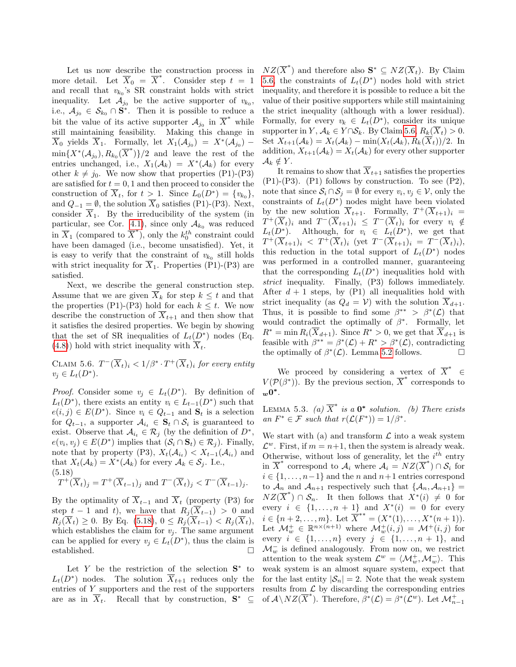Let us now describe the construction process in more detail. Let  $\overline{X}_0 = \overline{X}^*$ . Consider step  $t = 1$ and recall that  $v_{k_0}$ 's SR constraint holds with strict inequality. Let  $A_{j_0}$  be the active supporter of  $v_{k_0}$ , i.e.,  $A_{j_0} \in S_{k_0} \cap \mathbf{S}^*$ . Then it is possible to reduce a bit the value of its active supporter  $\mathcal{A}_{j_0}$  in  $\overline{X}^*$  while still maintaining feasibility. Making this change in  $\overline{X}_0$  yields  $\overline{X}_1$ . Formally, let  $X_1(\mathcal{A}_{j_0}) = X^*(\mathcal{A}_{j_0})$  - $\min\{X^*(\mathcal{A}_{j_0}), R_{k_0}(\overline{X}^*)\}/2$  and leave the rest of the entries unchanged, i.e.,  $X_1(\mathcal{A}_k) = X^*(\mathcal{A}_k)$  for every other  $k \neq j_0$ . We now show that properties (P1)-(P3) are satisfied for  $t = 0, 1$  and then proceed to consider the construction of  $\overline{X}_t$ , for  $t > 1$ . Since  $L_0(D^*) = \{v_{k_0}\},\$ and  $Q_{-1} = \emptyset$ , the solution  $\overline{X}_0$  satisfies (P1)-(P3). Next, consider  $\overline{X}_1$ . By the irreducibility of the system (in particular, see Cor. [4.1\)](#page-6-1), since only  $A_{k_0}$  was reduced in  $\overline{X}_1$  (compared to  $\overline{X}^*$ ), only the  $k_0^{th}$  constraint could have been damaged (i.e., become unsatisfied). Yet, it is easy to verify that the constraint of  $v_{k_0}$  still holds with strict inequality for  $\overline{X}_1$ . Properties (P1)-(P3) are satisfied.

Next, we describe the general construction step. Assume that we are given  $\overline{X}_k$  for step  $k \leq t$  and that the properties (P1)-(P3) hold for each  $k \leq t$ . We now describe the construction of  $\overline{X}_{t+1}$  and then show that it satisfies the desired properties. We begin by showing that the set of SR inequalities of  $L_t(D^*)$  nodes (Eq.  $(4.8)$ ) hold with strict inequality with  $\overline{X}_t$ .

<span id="page-11-1"></span>CLAIM 5.6.  $T^{-}(\overline{X}_{t})_{i} < 1/\beta^{*} \cdot T^{+}(\overline{X}_{t})_{i}$  for every entity  $v_j \in L_t(D^*)$ .

*Proof.* Consider some  $v_j \in L_t(D^*)$ . By definition of  $L_t(D^*)$ , there exists an entity  $v_i \in L_{t-1}(D^*)$  such that  $e(i, j) \in E(D^*)$ . Since  $v_i \in Q_{t-1}$  and  $\mathbf{S}_t$  is a selection for  $Q_{t-1}$ , a supporter  $A_{i_t} \in \mathbf{S}_t \cap \mathcal{S}_i$  is guaranteed to exist. Observe that  $A_{i_t} \in \mathcal{R}_j$  (by the definition of  $D^*$ ,  $e(v_i, v_j) \in E(D^*)$  implies that  $(\mathcal{S}_i \cap \mathbf{S}_t) \in \mathcal{R}_j$ . Finally, note that by property (P3),  $X_t(\mathcal{A}_{i_t}) < X_{t-1}(\mathcal{A}_{i_t})$  and that  $X_t(\mathcal{A}_k) = X^*(\mathcal{A}_k)$  for every  $\mathcal{A}_k \in \mathcal{S}_j$ . I.e., (5.18)  $T^+(\overline{X}_t)_j = T^+(\overline{X}_{t-1})_j$  and  $T^-(\overline{X}_t)_j < T^-(\overline{X}_{t-1})_j$ .

<span id="page-11-0"></span>By the optimality of  $\overline{X}_{t-1}$  and  $\overline{X}_t$  (property (P3) for step  $t - 1$  and t), we have that  $R_j(\overline{X}_{t-1}) > 0$  and  $R_j(\overline{X}_t) \geq 0$ . By Eq. [\(5.18\)](#page-11-0),  $0 \leq R_j(\overline{X}_{t-1}) < R_j(\overline{X}_t)$ , which establishes the claim for  $v_j$ . The same argument can be applied for every  $v_j \in L_t(D^*)$ , thus the claim is established.  $\hfill \square$ 

Let Y be the restriction of the selection  $S^*$  to  $L_t(D^*)$  nodes. The solution  $\overline{X}_{t+1}$  reduces only the entries of Y supporters and the rest of the supporters are as in  $\overline{X}_t$ . Recall that by construction,  $S^* \subseteq$ 

 $NZ(\overline{X}^*)$  and therefore also  $\mathbf{S}^* \subseteq NZ(\overline{X}_t)$ . By Claim [5.6,](#page-11-1) the constraints of  $L_t(D^*)$  nodes hold with strict inequality, and therefore it is possible to reduce a bit the value of their positive supporters while still maintaining the strict inequality (although with a lower residual). Formally, for every  $v_k \in L_t(D^*)$ , consider its unique supporter in Y,  $A_k \in Y \cap S_k$ . By Claim [5.6,](#page-11-1)  $R_k(X_t) > 0$ . Set  $X_{t+1}(\mathcal{A}_k) = X_t(\mathcal{A}_k) - \min(X_t(\mathcal{A}_k), R_k(\overline{X}_t))/2$ . In addition,  $X_{t+1}(\mathcal{A}_k) = X_t(\mathcal{A}_k)$  for every other supporter  $\mathcal{A}_k \notin Y$  .

It remains to show that  $\overline{X}_{t+1}$  satisfies the properties (P1)-(P3). (P1) follows by construction. To see (P2), note that since  $\mathcal{S}_i \cap \mathcal{S}_j = \emptyset$  for every  $v_i, v_j \in \mathcal{V}$ , only the constraints of  $L_t(D^*)$  nodes might have been violated by the new solution  $\overline{X}_{t+1}$ . Formally,  $T^+(\overline{X}_{t+1})_i =$  $T^+(\overline{X}_t)_i$  and  $T^-(\overline{X}_{t+1})_i \leq T^-(\overline{X}_t)_i$  for every  $v_i \notin$  $L_t(D^*)$ . Although, for  $v_i \in L_t(D^*)$ , we get that  $T^+(\overline{X}_{t+1})_i \leq T^+(\overline{X}_t)_i$  (yet  $T^-(\overline{X}_{t+1})_i = T^-(\overline{X}_t)_i$ ), this reduction in the total support of  $L_t(D^*)$  nodes was performed in a controlled manner, guaranteeing that the corresponding  $L_t(D^*)$  inequalities hold with strict inequality. Finally, (P3) follows immediately. After  $d + 1$  steps, by (P1) all inequalities hold with strict inequality (as  $Q_d = V$ ) with the solution  $X_{d+1}$ . Thus, it is possible to find some  $\beta^{**} > \beta^*(\mathcal{L})$  that would contradict the optimally of  $\beta^*$ . Formally, let  $R^* = \min R_i(\overline{X}_{d+1})$ . Since  $R^* > 0$ , we get that  $\overline{X}_{d+1}$  is feasible with  $\beta^{**} = \beta^*(\mathcal{L}) + R^* > \beta^*(\mathcal{L})$ , contradicting the optimally of  $\beta^*(\mathcal{L})$ . Lemma [5.2](#page-10-0) follows.

We proceed by considering a vertex of  $\overline{X}^*$ ∈  $V(P(\beta^*))$ . By the previous section,  $\overline{X}^*$  corresponds to  $w^{0^*}$ .

<span id="page-11-2"></span>LEMMA 5.3. (a)  $\overline{X}^*$  is a  $0^*$  solution. (b) There exists an  $F^* \in \mathcal{F}$  such that  $r(\mathcal{L}(F^*)) = 1/\beta^*$ .

We start with (a) and transform  $\mathcal L$  into a weak system  $\mathcal{L}^w$ . First, if  $m = n+1$ , then the system is already weak. Otherwise, without loss of generality, let the  $i^{th}$  entry in  $\overline{X}^*$  correspond to  $\mathcal{A}_i$  where  $\mathcal{A}_i = NZ(\overline{X}^*) \cap \mathcal{S}_i$  for  $i \in \{1, \ldots, n-1\}$  and the n and  $n+1$  entries correspond to  $\mathcal{A}_n$  and  $\mathcal{A}_{n+1}$  respectively such that  $\{\mathcal{A}_n, \mathcal{A}_{n+1}\}$  $NZ(\overline{X}^*) \cap S_n$ . It then follows that  $X^*(i) \neq 0$  for every  $i \in \{1, \ldots, n+1\}$  and  $X^*(i) = 0$  for every  $i \in \{n+2,\ldots,m\}$ . Let  $\overline{X}^{**} = (X^*(1),\ldots,X^*(n+1))$ . Let  $\mathcal{M}_w^+ \in \mathbb{R}^{n \times (n+1)}$  where  $\mathcal{M}_w^+(i,j) = \mathcal{M}^+(i,j)$  for every  $i \in \{1, ..., n\}$  every  $j \in \{1, ..., n + 1\}$ , and  $\mathcal{M}_w^-$  is defined analogously. From now on, we restrict attention to the weak system  $\mathcal{L}^w = \langle \mathcal{M}_w^+, \mathcal{M}_w^- \rangle$ . This weak system is an almost square system, expect that for the last entity  $|\mathcal{S}_n| = 2$ . Note that the weak system results from  $\mathcal L$  by discarding the corresponding entries of  $\mathcal{A}\backslash N\mathbb{Z}(\overline{X}^*)$ . Therefore,  $\beta^*(\mathcal{L}) = \beta^*(\mathcal{L}^w)$ . Let  $\mathcal{M}^+_{n-1}$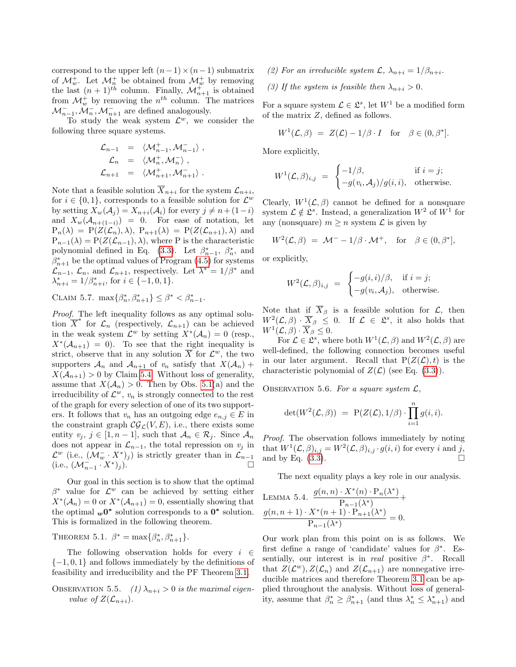correspond to the upper left  $(n-1) \times (n-1)$  submatrix of  $\mathcal{M}_w^+$ . Let  $\mathcal{M}_n^+$  be obtained from  $\mathcal{M}_w^+$  by removing the last  $(n+1)^{th}$  column. Finally,  $\mathcal{M}_{n+1}^{\dagger}$  is obtained from  $\mathcal{M}_w^+$  by removing the  $n^{th}$  column. The matrices  $\mathcal{M}^-_{n-1}, \tilde{\mathcal{M}}^-_{n}, \mathcal{M}^-_{n+1}$  are defined analogously.

To study the weak system  $\mathcal{L}^w$ , we consider the following three square systems.

$$
\mathcal{L}_{n-1} = \langle \mathcal{M}_{n-1}^+, \mathcal{M}_{n-1}^- \rangle ,
$$
  
\n
$$
\mathcal{L}_n = \langle \mathcal{M}_n^+, \mathcal{M}_n^- \rangle ,
$$
  
\n
$$
\mathcal{L}_{n+1} = \langle \mathcal{M}_{n+1}^+, \mathcal{M}_{n+1}^- \rangle .
$$

Note that a feasible solution  $X_{n+i}$  for the system  $\mathcal{L}_{n+i}$ , for  $i \in \{0,1\}$ , corresponds to a feasible solution for  $\mathcal{L}^w$ by setting  $X_w(\mathcal{A}_i) = X_{n+i}(\mathcal{A}_i)$  for every  $j \neq n+(1-i)$ and  $X_w(\mathcal{A}_{n+(1-i)}) = 0$ . For ease of notation, let  $P_n(\lambda) = P(Z(\mathcal{L}_n), \lambda), P_{n+1}(\lambda) = P(Z(\mathcal{L}_{n+1}), \lambda)$  and  $P_{n-1}(\lambda) = P(Z(\mathcal{L}_{n-1}), \lambda)$ , where P is the characteristic polynomial defined in Eq. [\(3.3\)](#page-4-2). Let  $\beta_{n-1}^*$ ,  $\beta_n^*$ , and  $\beta_{n+1}^*$  be the optimal values of Program  $(4.5)$  for systems  $\mathcal{L}_{n-1}, \mathcal{L}_n$ , and  $\mathcal{L}_{n+1}$ , respectively. Let  $\lambda^* = 1/\beta^*$  and  $\lambda_{n+i}^* = 1/\beta_{n+i}^*$ , for  $i \in \{-1, 0, 1\}$ .

<span id="page-12-0"></span>CLAIM 5.7.  $\max\{\beta_n^*, \beta_{n+1}^*\} \leq \beta^* < \beta_{n-1}^*$ .

Proof. The left inequality follows as any optimal solution  $\overline{X}^*$  for  $\mathcal{L}_n$  (respectively,  $\mathcal{L}_{n+1}$ ) can be achieved in the weak system  $\mathcal{L}^w$  by setting  $X^*(\mathcal{A}_n) = 0$  (resp.,  $X^*(A_{n+1}) = 0$ . To see that the right inequality is strict, observe that in any solution  $\overline{X}$  for  $\mathcal{L}^w$ , the two supporters  $\mathcal{A}_n$  and  $\mathcal{A}_{n+1}$  of  $v_n$  satisfy that  $X(\mathcal{A}_n)$  +  $X(\mathcal{A}_{n+1}) > 0$  by Claim [5.4.](#page-9-5) Without loss of generality, assume that  $X(\mathcal{A}_n) > 0$ . Then by Obs. [5.1\(](#page-7-0)a) and the irreducibility of  $\mathcal{L}^w$ ,  $v_n$  is strongly connected to the rest of the graph for every selection of one of its two supporters. It follows that  $v_n$  has an outgoing edge  $e_{n,j} \in E$  in the constraint graph  $\mathcal{CG}_{\mathcal{L}}(V, E)$ , i.e., there exists some entity  $v_j, j \in [1, n-1]$ , such that  $\mathcal{A}_n \in \mathcal{R}_j$ . Since  $\mathcal{A}_n$ does not appear in  $\mathcal{L}_{n-1}$ , the total repression on  $v_j$  in  $\mathcal{L}^w$  (i.e.,  $(\mathcal{M}_w^- \cdot X^*)_j$ ) is strictly greater than in  $\mathcal{L}_{n-1}$  $(i.e., (\mathcal{M}_{n-1}^- \cdot X^*)$  $)j$ ).

Our goal in this section is to show that the optimal  $\beta^*$  value for  $\mathcal{L}^w$  can be achieved by setting either  $X^*(\mathcal{A}_n) = 0$  or  $X^*(\mathcal{A}_{n+1}) = 0$ , essentially showing that the optimal  $w0^*$  solution corresponds to a  $0^*$  solution. This is formalized in the following theorem.

THEOREM 5.1.  $\beta^* = \max{\beta_n^*, \beta_{n+1}^*}.$ 

The following observation holds for every  $i \in$  $\{-1, 0, 1\}$  and follows immediately by the definitions of feasibility and irreducibility and the PF Theorem [3.1.](#page-1-2)

OBSERVATION 5.5. (1)  $\lambda_{n+i} > 0$  is the maximal eigenvalue of  $Z(\mathcal{L}_{n+i})$ .

- (2) For an irreducible system  $\mathcal{L}, \lambda_{n+i} = 1/\beta_{n+i}$ .
- (3) If the system is feasible then  $\lambda_{n+i} > 0$ .

For a square system  $\mathcal{L} \in \mathfrak{L}^s$ , let  $W^1$  be a modified form of the matrix Z, defined as follows.

$$
W^{1}(\mathcal{L}, \beta) = Z(\mathcal{L}) - 1/\beta \cdot I \quad \text{for} \quad \beta \in (0, \beta^{*}].
$$

More explicitly,

$$
W^{1}(\mathcal{L}, \beta)_{i,j} = \begin{cases} -1/\beta, & \text{if } i = j; \\ -g(v_i, \mathcal{A}_j)/g(i, i), & \text{otherwise.} \end{cases}
$$

Clearly,  $W^1(\mathcal{L}, \beta)$  cannot be defined for a nonsquare system  $\mathcal{L} \notin \mathfrak{L}^s$ . Instead, a generalization  $W^2$  of  $W^1$  for any (nonsquare)  $m \geq n$  system  $\mathcal L$  is given by

$$
W^2(\mathcal{L}, \beta) = \mathcal{M}^- - 1/\beta \cdot \mathcal{M}^+, \text{ for } \beta \in (0, \beta^*],
$$

or explicitly,

$$
W^{2}(\mathcal{L}, \beta)_{i,j} = \begin{cases} -g(i,i)/\beta, & \text{if } i = j; \\ -g(v_i, \mathcal{A}_j), & \text{otherwise.} \end{cases}
$$

Note that if  $\overline{X}_{\beta}$  is a feasible solution for  $\mathcal{L}$ , then  $W^2(\mathcal{L}, \beta) \cdot \overline{X}_{\beta} \leq 0$ . If  $\mathcal{L} \in \mathfrak{L}^s$ , it also holds that  $W^1(\mathcal{L}, \beta) \cdot \overline{X}_{\beta} \leq 0.$ 

For  $\mathcal{L} \in \mathfrak{L}^s$ , where both  $W^1(\mathcal{L}, \beta)$  and  $W^2(\mathcal{L}, \beta)$  are well-defined, the following connection becomes useful in our later argument. Recall that  $P(Z(\mathcal{L}), t)$  is the characteristic polynomial of  $Z(\mathcal{L})$  (see Eq. [\(3.3\)](#page-4-2)).

OBSERVATION 5.6. For a square system  $\mathcal{L},$ 

$$
\det(W^2(\mathcal{L}, \beta)) = P(Z(\mathcal{L}), 1/\beta) \cdot \prod_{i=1}^n g(i, i).
$$

Proof. The observation follows immediately by noting that  $W^1(\mathcal{L}, \beta)_{i,j} = W^2(\mathcal{L}, \beta)_{i,j} \cdot g(i,i)$  for every i and j, and by Eq.  $(3.3)$ .

<span id="page-12-1"></span>The next equality plays a key role in our analysis.

LEMMA 5.4. 
$$
\frac{g(n,n) \cdot X^*(n) \cdot P_n(\lambda^*)}{P_{n-1}(\lambda^*)} + \frac{g(n,n+1) \cdot X^*(n+1) \cdot P_{n+1}(\lambda^*)}{P_{n-1}(\lambda^*)} = 0.
$$

Our work plan from this point on is as follows. We first define a range of 'candidate' values for  $\beta^*$ . Essentially, our interest is in *real* positive  $\beta^*$ . Recall that  $Z(\mathcal{L}^w), Z(\mathcal{L}_n)$  and  $Z(\mathcal{L}_{n+1})$  are nonnegative irreducible matrices and therefore Theorem [3.1](#page-1-2) can be applied throughout the analysis. Without loss of generality, assume that  $\beta_n^* \geq \beta_{n+1}^*$  (and thus  $\lambda_n^* \leq \lambda_{n+1}^*$ ) and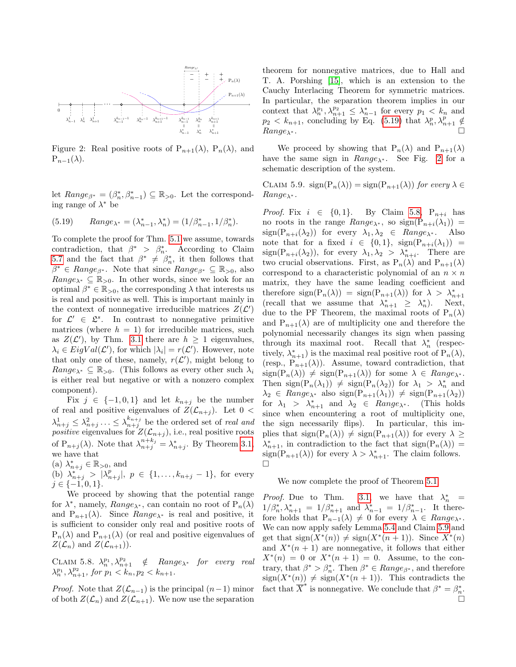<span id="page-13-1"></span>

Figure 2: Real positive roots of  $P_{n+1}(\lambda)$ ,  $P_n(\lambda)$ , and  $P_{n-1}(\lambda)$ .

let  $Range_{\beta^*} = (\beta_n^*, \beta_{n-1}^*) \subseteq \mathbb{R}_{>0}$ . Let the corresponding range of  $\lambda^*$  be

<span id="page-13-0"></span>(5.19) 
$$
Range_{\lambda^*} = (\lambda_{n-1}^*, \lambda_n^*) = (1/\beta_{n-1}^*, 1/\beta_n^*).
$$

To complete the proof for Thm. [5.1](#page-1-2) we assume, towards contradiction, that  $\beta^* > \beta_n^*$ . According to Claim [5.7](#page-12-0) and the fact that  $\beta^* \neq \beta_n^*$ , it then follows that  $\beta^* \in Range_{\beta^*}.$  Note that since  $Range_{\beta^*} \subseteq \mathbb{R}_{>0}$ , also  $Range_{\lambda^*} \subseteq \mathbb{R}_{>0}$ . In other words, since we look for an optimal  $\beta^* \in \mathbb{R}_{>0}$ , the corresponding  $\lambda$  that interests us is real and positive as well. This is important mainly in the context of nonnegative irreducible matrices  $Z(\mathcal{L}')$ for  $\mathcal{L}' \in \mathfrak{L}^s$ . In contrast to nonnegative primitive matrices (where  $h = 1$ ) for irreducible matrices, such as  $Z(\mathcal{L}')$ , by Thm. [3.1](#page-1-2) there are  $h \geq 1$  eigenvalues,  $\lambda_i \in EigVal(\mathcal{L}'),$  for which  $|\lambda_i|=r(\mathcal{L}').$  However, note that only one of these, namely,  $r(\mathcal{L}')$ , might belong to  $Range_{\lambda^*} \subseteq \mathbb{R}_{>0}$ . (This follows as every other such  $\lambda_i$ is either real but negative or with a nonzero complex component).

Fix  $j \in \{-1,0,1\}$  and let  $k_{n+j}$  be the number of real and positive eigenvalues of  $Z(\mathcal{L}_{n+j})$ . Let  $0 <$  $\lambda_{n+j}^1 \leq \lambda_{n+j}^2 \ldots \leq \lambda_{n+j}^{k_{n+j}}$  be the ordered set of *real and* positive eigenvalues for  $Z(\mathcal{L}_{n+j})$ , i.e., real positive roots of  $P_{n+j}(\lambda)$ . Note that  $\lambda_{n+j}^{n+k_j} = \lambda_{n+j}^*$ . By Theorem [3.1,](#page-1-2) we have that

(a)  $\lambda^*_{n+j} \in \mathbb{R}_{>0}$ , and

(b)  $\lambda_{n+j}^{*} > |\lambda_{n+j}^p|, p \in \{1, ..., k_{n+j} - 1\}$ , for every  $j \in \{-1, 0, 1\}.$ 

We proceed by showing that the potential range for  $\lambda^*$ , namely,  $Range_{\lambda^*}$ , can contain no root of  $P_n(\lambda)$ and  $P_{n+1}(\lambda)$ . Since  $Range_{\lambda^*}$  is real and positive, it is sufficient to consider only real and positive roots of  $P_n(\lambda)$  and  $P_{n+1}(\lambda)$  (or real and positive eigenvalues of  $Z(\mathcal{L}_n)$  and  $Z(\mathcal{L}_{n+1})$ .

<span id="page-13-2"></span>CLAIM 5.8.  $\lambda_n^{p_1}, \lambda_{n+1}^{p_2} \notin Range_{\lambda^*}$  for every real  $\lambda_n^{p_1}, \lambda_{n+1}^{p_2}, \text{ for } p_1 < k_n, p_2 < k_{n+1}.$ 

*Proof.* Note that  $Z(\mathcal{L}_{n-1})$  is the principal  $(n-1)$  minor of both  $Z(\mathcal{L}_n)$  and  $Z(\mathcal{L}_{n+1})$ . We now use the separation

theorem for nonnegative matrices, due to Hall and T. A. Porshing [\[15\]](#page-19-23), which is an extension to the Cauchy Interlacing Theorem for symmetric matrices. In particular, the separation theorem implies in our context that  $\lambda_n^{p_1}, \lambda_{n+1}^{p_2} \leq \lambda_{n-1}^*$  for every  $p_1 < k_n$  and  $p_2 \lt k_{n+1}$ , concluding by Eq. [\(5.19\)](#page-13-0) that  $\lambda_n^p, \lambda_{n+1}^p \notin$  $Range_{\lambda^*}$ .

<span id="page-13-3"></span>We proceed by showing that  $P_n(\lambda)$  and  $P_{n+1}(\lambda)$ have the same sign in  $Range_{\lambda^*}$ . See Fig. [2](#page-13-1) for a schematic description of the system.

CLAIM 5.9.  $sign(P_n(\lambda)) = sign(P_{n+1}(\lambda))$  for every  $\lambda \in$  $Range_{\lambda^*}.$ 

*Proof.* Fix  $i \in \{0, 1\}$ . By Claim [5.8,](#page-13-2)  $P_{n+i}$  has no roots in the range  $Range_{\lambda^*}$ , so  $sign(P_{n+i}(\lambda_1))$  =  $sign(P_{n+i}(\lambda_2))$  for every  $\lambda_1, \lambda_2 \in Range_{\lambda^*}$ . Also note that for a fixed  $i \in \{0,1\}$ ,  $sign(P_{n+i}(\lambda_1))$  =  $sign(P_{n+i}(\lambda_2))$ , for every  $\lambda_1, \lambda_2 > \lambda_{n+i}^*$ . There are two crucial observations. First, as  $P_n(\lambda)$  and  $P_{n+1}(\lambda)$ correspond to a characteristic polynomial of an  $n \times n$ matrix, they have the same leading coefficient and therefore  $sign(P_n(\lambda)) = sign(P_{n+1}(\lambda))$  for  $\lambda > \lambda_{n+1}^*$ (recall that we assume that  $\lambda_{n+1}^* \geq \lambda_n^*$ ). Next, due to the PF Theorem, the maximal roots of  $P_n(\lambda)$ and  $P_{n+1}(\lambda)$  are of multiplicity one and therefore the polynomial necessarily changes its sign when passing through its maximal root. Recall that  $\lambda_n^*$  (respectively,  $\lambda_{n+1}^*$ ) is the maximal real positive root of  $P_n(\lambda)$ , (resp.,  $P_{n+1}(\lambda)$ ). Assume, toward contradiction, that  $sign(P_n(\lambda)) \neq sign(P_{n+1}(\lambda))$  for some  $\lambda \in Range_{\lambda^*}$ . Then  $sign(P_n(\lambda_1)) \neq sign(P_n(\lambda_2))$  for  $\lambda_1 > \lambda_n^*$  and  $\lambda_2 \in Range_{\lambda^*}$  also  $sign(P_{n+1}(\lambda_1)) \neq sign(P_{n+1}(\lambda_2))$ for  $\lambda_1 > \lambda_{n+1}^*$  and  $\lambda_2 \in Range_{\lambda^*}$ . (This holds since when encountering a root of multiplicity one, the sign necessarily flips). In particular, this implies that  $sign(P_n(\lambda)) \neq sign(P_{n+1}(\lambda))$  for every  $\lambda \geq$  $\lambda_{n+1}^*$ , in contradiction to the fact that  $sign(P_n(\lambda)) =$  $sign(P_{n+1}(\lambda))$  for every  $\lambda > \lambda_{n+1}^*$ . The claim follows. П

We now complete the proof of Theorem [5.1.](#page-1-2)

*Proof.* Due to Thm. [3.1,](#page-1-2) we have that  $\lambda_n^*$  =  $1/\beta_n^*, \lambda_{n+1}^* = 1/\beta_{n+1}^*$  and  $\lambda_{n-1}^* = 1/\beta_{n-1}^*$ . It therefore holds that  $P_{n-1}(\lambda) \neq 0$  for every  $\lambda \in Range_{\lambda^*}$ . We can now apply safely Lemma [5.4](#page-12-1) and Claim [5.9](#page-13-3) and get that  $sign(X^*(n)) \neq sign(X^*(n+1))$ . Since  $X^*(n)$ and  $X^*(n+1)$  are nonnegative, it follows that either  $X^*(n) = 0$  or  $X^*(n+1) = 0$ . Assume, to the contrary, that  $\beta^* > \beta_n^*$ . Then  $\beta^* \in Range_{\beta^*}$ , and therefore  $sign(X^*(n)) \neq sign(X^*(n+1)).$  This contradicts the fact that  $\overline{X}^*$  is nonnegative. We conclude that  $\beta^* = \beta_n^*$ .  $\Box$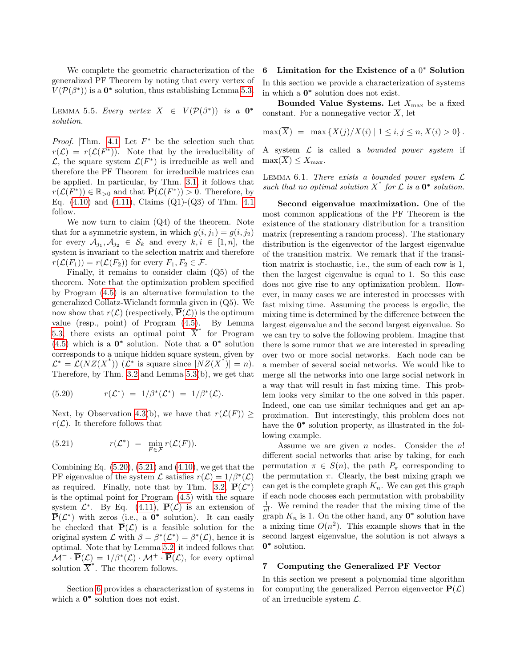We complete the geometric characterization of the generalized PF Theorem by noting that every vertex of  $V(\mathcal{P}(\beta^*))$  is a  $\mathbf{0}^*$  solution, thus establishing Lemma [5.3.](#page-11-2)

LEMMA 5.5. Every vertex  $\overline{X} \in V(\mathcal{P}(\beta^*))$  is a  $0^*$ solution.

*Proof.* [Thm. [4.1\]](#page-1-2) Let  $F^*$  be the selection such that  $r(\mathcal{L}) = r(\mathcal{L}(F^*))$ . Note that by the irreducibility of  $\mathcal{L},$  the square system  $\mathcal{L}(F^*)$  is irreducible as well and therefore the PF Theorem for irreducible matrices can be applied. In particular, by Thm. [3.1,](#page-1-2) it follows that  $r(\mathcal{L}(F^*)) \in \mathbb{R}_{>0}$  and that  $\overline{\mathbf{P}}(\mathcal{L}(F^*)) > 0$ . Therefore, by Eq.  $(4.10)$  and  $(4.11)$ , Claims  $(Q1)-(Q3)$  of Thm. [4.1](#page-1-2) follow.

We now turn to claim (Q4) of the theorem. Note that for a symmetric system, in which  $g(i, j_1) = g(i, j_2)$ for every  $A_{j_1}, A_{j_2} \in S_k$  and every  $k, i \in [1, n]$ , the system is invariant to the selection matrix and therefore  $r(\mathcal{L}(F_1)) = r(\mathcal{L}(F_2))$  for every  $F_1, F_2 \in \mathcal{F}$ .

Finally, it remains to consider claim (Q5) of the theorem. Note that the optimization problem specified by Program [\(4.5\)](#page-5-1) is an alternative formulation to the generalized Collatz-Wielandt formula given in (Q5). We now show that  $r(\mathcal{L})$  (respectively,  $\overline{P}(\mathcal{L})$ ) is the optimum value (resp., point) of Program [\(4.5\)](#page-5-1). By Lemma [5.3,](#page-11-2) there exists an optimal point  $\overline{X}^*$  for Program [\(4.5\)](#page-5-1) which is a  $0^*$  solution. Note that a  $0^*$  solution corresponds to a unique hidden square system, given by  $\mathcal{L}^* = \mathcal{L}(NZ(\overline{X}^*))$  ( $\mathcal{L}^*$  is square since  $|NZ(\overline{X}^*)| = n$ ). Therefore, by Thm. [3.2](#page-1-3) and Lemma [5.3\(](#page-11-2)b), we get that

<span id="page-14-0"></span>(5.20) 
$$
r(\mathcal{L}^*) = 1/\beta^*(\mathcal{L}^*) = 1/\beta^*(\mathcal{L}).
$$

Next, by Observation [4.3\(](#page-6-3)b), we have that  $r(\mathcal{L}(F))$  >  $r(\mathcal{L})$ . It therefore follows that

<span id="page-14-1"></span>(5.21) 
$$
r(\mathcal{L}^*) = \min_{F \in \mathcal{F}} r(\mathcal{L}(F)).
$$

Combining Eq.  $(5.20), (5.21)$  $(5.20), (5.21)$  $(5.20), (5.21)$  and  $(4.10),$  $(4.10),$  we get that the PF eigenvalue of the system  $\mathcal L$  satisfies  $r(\mathcal L) = 1/\beta^*(\mathcal L)$ as required. Finally, note that by Thm. [3.2,](#page-1-3)  $\overline{P}(\mathcal{L}^*)$ is the optimal point for Program [\(4.5\)](#page-5-1) with the square system  $\mathcal{L}^*$ . By Eq. [\(4.11\)](#page-6-2),  $\overline{P}(\mathcal{L})$  is an extension of  $\overline{P}(\mathcal{L}^*)$  with zeros (i.e., a  $0^*$  solution). It can easily be checked that  $\overline{P}(\mathcal{L})$  is a feasible solution for the original system  $\mathcal L$  with  $\beta = \beta^*(\mathcal L^*) = \beta^*(\mathcal L)$ , hence it is optimal. Note that by Lemma [5.2,](#page-10-0) it indeed follows that  $\mathcal{M}^- \cdot \overline{\mathbf{P}}(\mathcal{L}) = 1/\beta^*(\mathcal{L}) \cdot \mathcal{M}^+ \cdot \overline{\mathbf{P}}(\mathcal{L}),$  for every optimal solution  $\overline{X}^*$ . The theorem follows.

Section [6](#page-14-2) provides a characterization of systems in which a  $0^*$  solution does not exist.

# <span id="page-14-2"></span>6 Limitation for the Existence of a  $0^*$  Solution

In this section we provide a characterization of systems in which a 0 ∗ solution does not exist.

Bounded Value Systems. Let  $X_{\text{max}}$  be a fixed constant. For a nonnegative vector  $\overline{X}$ , let

$$
\max(\overline{X}) = \max\left\{X(j)/X(i) \mid 1 \le i, j \le n, X(i) > 0\right\}.
$$

A system  $\mathcal L$  is called a *bounded power system* if  $\max(X) \leq X_{\max}$ .

LEMMA 6.1. There exists a bounded power system  $\mathcal L$ such that no optimal solution  $\overline{X}^*$  for  $\overline{\mathcal{L}}$  is a  $0^*$  solution.

Second eigenvalue maximization. One of the most common applications of the PF Theorem is the existence of the stationary distribution for a transition matrix (representing a random process). The stationary distribution is the eigenvector of the largest eigenvalue of the transition matrix. We remark that if the transition matrix is stochastic, i.e., the sum of each row is 1, then the largest eigenvalue is equal to 1. So this case does not give rise to any optimization problem. However, in many cases we are interested in processes with fast mixing time. Assuming the process is ergodic, the mixing time is determined by the difference between the largest eigenvalue and the second largest eigenvalue. So we can try to solve the following problem. Imagine that there is some rumor that we are interested in spreading over two or more social networks. Each node can be a member of several social networks. We would like to merge all the networks into one large social network in a way that will result in fast mixing time. This problem looks very similar to the one solved in this paper. Indeed, one can use similar techniques and get an approximation. But interestingly, this problem does not have the  $0^*$  solution property, as illustrated in the following example.

Assume we are given *n* nodes. Consider the *n*! different social networks that arise by taking, for each permutation  $\pi \in S(n)$ , the path  $P_{\pi}$  corresponding to the permutation  $\pi$ . Clearly, the best mixing graph we can get is the complete graph  $K_n$ . We can get this graph if each node chooses each permutation with probability  $\frac{1}{n!}$ . We remind the reader that the mixing time of the graph  $K_n$  is 1. On the other hand, any  $\mathbf{0}^*$  solution have a mixing time  $O(n^2)$ . This example shows that in the second largest eigenvalue, the solution is not always a 0 ∗ solution.

#### 7 Computing the Generalized PF Vector

In this section we present a polynomial time algorithm for computing the generalized Perron eigenvector  $\overline{P}(\mathcal{L})$ of an irreducible system  $\mathcal{L}$ .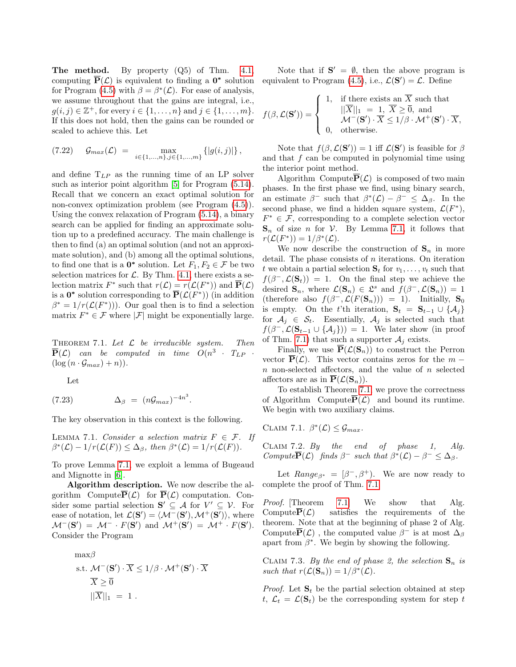The method. By property (Q5) of Thm. [4.1,](#page-1-2) computing  $\overline{P}(\mathcal{L})$  is equivalent to finding a  $0^*$  solution for Program [\(4.5\)](#page-5-1) with  $\beta = \beta^*(\mathcal{L})$ . For ease of analysis, we assume throughout that the gains are integral, i.e.,  $g(i, j) \in \mathbb{Z}^+$ , for every  $i \in \{1, ..., n\}$  and  $j \in \{1, ..., m\}$ . If this does not hold, then the gains can be rounded or scaled to achieve this. Let

<span id="page-15-1"></span>
$$
(7.22) \quad \mathcal{G}_{max}(\mathcal{L}) = \max_{i \in \{1, ..., n\}, j \in \{1, ..., m\}} \left\{ |g(i, j)| \right\},\,
$$

and define  $T_{LP}$  as the running time of an LP solver such as interior point algorithm [\[5\]](#page-19-6) for Program  $(5.14)$ . Recall that we concern an exact optimal solution for non-convex optimization problem (see Program [\(4.5\)](#page-5-1)). Using the convex relaxation of Program [\(5.14\)](#page-9-0), a binary search can be applied for finding an approximate solution up to a predefined accuracy. The main challenge is then to find (a) an optimal solution (and not an approximate solution), and (b) among all the optimal solutions, to find one that is a  $0^*$  solution. Let  $F_1, F_2 \in \mathcal{F}$  be two selection matrices for  $\mathcal{L}$ . By Thm. [4.1,](#page-1-2) there exists a selection matrix  $F^*$  such that  $r(\mathcal{L}) = r(\mathcal{L}(F^*))$  and  $\overline{P}(\mathcal{L})$ is a  $\mathbf{0}^*$  solution corresponding to  $\overline{\mathbf{P}}(\mathcal{L}(F^*))$  (in addition  $\beta^* = 1/r(\mathcal{L}(F^*)))$ . Our goal then is to find a selection matrix  $F^* \in \mathcal{F}$  where  $|\mathcal{F}|$  might be exponentially large.

THEOREM 7.1. Let  $\mathcal L$  be irreducible system. Then  $\overline{\mathbf{P}}(\mathcal{L})$  can be computed in time  $O(n^3 + T_{LP} + \cdots$  $(\log (n \cdot \mathcal{G}_{max}) + n)).$ 

Let

$$
(7.23) \qquad \qquad \Delta_{\beta} = (n\mathcal{G}_{max})^{-4n^3}
$$

The key observation in this context is the following.

LEMMA 7.1. Consider a selection matrix 
$$
F \in \mathcal{F}
$$
. If  $\beta^*(\mathcal{L}) - 1/r(\mathcal{L}(F)) \leq \Delta_{\beta}$ , then  $\beta^*(\mathcal{L}) = 1/r(\mathcal{L}(F))$ .

.

To prove Lemma [7.1,](#page-4-1) we exploit a lemma of Bugeaud and Mignotte in [\[6\]](#page-19-24).

Algorithm description. We now describe the algorithm Compute  $\overline{P}(\mathcal{L})$  for  $\overline{P}(\mathcal{L})$  computation. Consider some partial selection  $S' \subseteq A$  for  $V' \subseteq V$ . For ease of notation, let  $\mathcal{L}(\mathbf{S}') = \langle \mathcal{M}^-(\mathbf{S}'), \mathcal{M}^+(\mathbf{S}') \rangle$ , where  $\mathcal{M}^-(\mathbf{S}') = \mathcal{M}^- \cdot F(\mathbf{S}')$  and  $\mathcal{M}^+(\mathbf{S}') = \mathcal{M}^+ \cdot F(\mathbf{S}')$ . Consider the Program

$$
\begin{aligned}\n\max \beta \\
\text{s.t. } & \mathcal{M}^-(\mathbf{S}') \cdot \overline{X} \le 1/\beta \cdot \mathcal{M}^+(\mathbf{S}') \cdot \overline{X} \\
& \overline{X} \ge 0 \\
& ||\overline{X}||_1 = 1 \,.\n\end{aligned}
$$

Note that if  $S' = \emptyset$ , then the above program is equivalent to Program [\(4.5\)](#page-5-1), i.e.,  $\mathcal{L}(\mathbf{S}') = \mathcal{L}$ . Define

$$
f(\beta, \mathcal{L}(\mathbf{S}')) = \begin{cases} 1, & \text{if there exists an } \overline{X} \text{ such that} \\ & ||\overline{X}||_1 = 1, \ \overline{X} \ge \overline{0}, \text{ and} \\ & \mathcal{M}^-(\mathbf{S}') \cdot \overline{X} \le 1/\beta \cdot \mathcal{M}^+(\mathbf{S}') \cdot \overline{X}, \\ 0, & \text{otherwise.} \end{cases}
$$

Note that  $f(\beta, \mathcal{L}(\mathbf{S}')) = 1$  iff  $\mathcal{L}(\mathbf{S}')$  is feasible for  $\beta$ and that  $f$  can be computed in polynomial time using the interior point method.

Algorithm Compute  $P(\mathcal{L})$  is composed of two main phases. In the first phase we find, using binary search, an estimate  $\beta^-$  such that  $\beta^*(\mathcal{L}) - \beta^- \leq \Delta_{\beta}$ . In the second phase, we find a hidden square system,  $\mathcal{L}(F^*),$  $F^* \in \mathcal{F}$ , corresponding to a complete selection vector  $S_n$  of size *n* for *V*. By Lemma [7.1,](#page-4-1) it follows that  $r(\mathcal{L}(F^*))=1/\beta^*(\mathcal{L}).$ 

We now describe the construction of  $S_n$  in more detail. The phase consists of  $n$  iterations. On iteration t we obtain a partial selection  $S_t$  for  $v_1, \ldots, v_t$  such that  $f(\beta^-,\mathcal{L}(\mathbf{S}_t)) = 1$ . On the final step we achieve the desired  $\mathbf{S}_n$ , where  $\mathcal{L}(\mathbf{S}_n) \in \mathfrak{L}^s$  and  $f(\beta^-,\mathcal{L}(\mathbf{S}_n)) = 1$ (therefore also  $f(\beta^-,\mathcal{L}(F(\mathbf{S}_n))) = 1$ ). Initially,  $\mathbf{S}_0$ is empty. On the t'th iteration,  $\mathbf{S}_t = \mathbf{S}_{t-1} \cup \{ \mathcal{A}_j \}$ for  $A_j \in S_t$ . Essentially,  $A_j$  is selected such that  $f(\beta^-,\mathcal{L}(\mathbf{S}_{t-1} \cup {\mathcal{A}_j})) = 1$ . We later show (in proof of Thm. [7.1\)](#page-1-2) that such a supporter  $A_i$  exists.

Finally, we use  $\overline{P}(\mathcal{L}(\mathbf{S}_n))$  to construct the Perron vector  $\overline{\mathbf{P}}(\mathcal{L})$ . This vector contains zeros for the  $m$  $n$  non-selected affectors, and the value of  $n$  selected affectors are as in  $\overline{P}(\mathcal{L}(\mathbf{S}_n))$ .

To establish Theorem [7.1,](#page-1-2) we prove the correctness of Algorithm Compute $\overline{P}(\mathcal{L})$  and bound its runtime. We begin with two auxiliary claims.

<span id="page-15-2"></span>
$$
CLAIM 7.1. \ \beta^*(\mathcal{L}) \leq \mathcal{G}_{max}.
$$

CLAIM 7.2. By the end of phase 1, Alg. Compute  $\overline{P}(\mathcal{L})$  finds  $\beta^-$  such that  $\beta^*(\mathcal{L}) - \beta^- \leq \Delta_{\beta}$ .

Let  $Range_{\beta^*} = [\beta^-, \beta^+)$ . We are now ready to complete the proof of Thm. [7.1.](#page-1-2)

Proof. [Theorem [7.1\]](#page-1-2) We show that Alg. Compute  $P(\mathcal{L})$  satisfies the requirements of the theorem. Note that at the beginning of phase 2 of Alg. Compute $\overline{P}(\mathcal{L})$ , the computed value  $\beta^-$  is at most  $\Delta_{\beta}$ apart from  $\beta^*$ . We begin by showing the following.

<span id="page-15-0"></span>CLAIM 7.3. By the end of phase 2, the selection  $S_n$  is such that  $r(\mathcal{L}(\mathbf{S}_n)) = 1/\beta^*(\mathcal{L}).$ 

*Proof.* Let  $S_t$  be the partial selection obtained at step t,  $\mathcal{L}_t = \mathcal{L}(\mathbf{S}_t)$  be the corresponding system for step t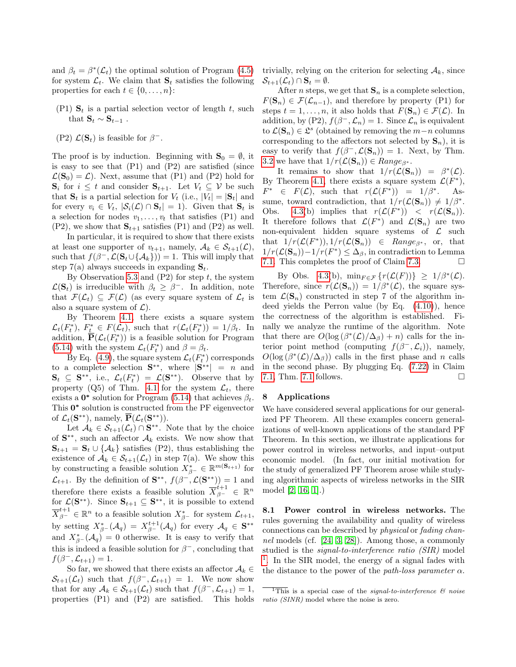and  $\beta_t = \beta^*(\mathcal{L}_t)$  the optimal solution of Program [\(4.5\)](#page-5-1) for system  $\mathcal{L}_t$ . We claim that  $\mathbf{S}_t$  satisfies the following properties for each  $t \in \{0, \ldots, n\}$ :

- (P1)  $S_t$  is a partial selection vector of length t, such that  $\mathbf{S}_t \sim \mathbf{S}_{t-1}$ .
- (P2)  $\mathcal{L}(\mathbf{S}_t)$  is feasible for  $\beta^-$ .

The proof is by induction. Beginning with  $S_0 = \emptyset$ , it is easy to see that (P1) and (P2) are satisfied (since  $\mathcal{L}(\mathbf{S}_0) = \mathcal{L}$ . Next, assume that (P1) and (P2) hold for  $\mathbf{S}_i$  for  $i \leq t$  and consider  $\mathbf{S}_{t+1}$ . Let  $V_t \subseteq \mathcal{V}$  be such that  $S_t$  is a partial selection for  $V_t$  (i.e.,  $|V_t| = |S_t|$  and for every  $v_i \in V_t$ ,  $|\mathcal{S}_i(\mathcal{L}) \cap \mathbf{S}_t| = 1$ . Given that  $\mathbf{S}_t$  is a selection for nodes  $v_1, \ldots, v_t$  that satisfies (P1) and (P2), we show that  $S_{t+1}$  satisfies (P1) and (P2) as well.

In particular, it is required to show that there exists at least one supporter of  $v_{t+1}$ , namely,  $A_k \in S_{t+1}(\mathcal{L}),$ such that  $f(\beta^-,\mathcal{L}(\mathbf{S}_t\cup\{\mathcal{A}_k\}))=1$ . This will imply that step 7(a) always succeeds in expanding  $S_t$ .

By Observation [5.3](#page-8-2) and  $(P2)$  for step t, the system  $\mathcal{L}(\mathbf{S}_t)$  is irreducible with  $\beta_t \geq \beta^{-}$ . In addition, note that  $\mathcal{F}(\mathcal{L}_t) \subseteq \mathcal{F}(\mathcal{L})$  (as every square system of  $\mathcal{L}_t$  is also a square system of  $\mathcal{L}$ ).

By Theorem [4.1,](#page-1-2) there exists a square system  $\mathcal{L}_t(F_t^*), F_t^* \in F(\mathcal{L}_t)$ , such that  $r(\mathcal{L}_t(F_t^*)) = 1/\beta_t$ . In addition,  $\overline{P}(\mathcal{L}_t(F_t^*))$  is a feasible solution for Program [\(5.14\)](#page-9-0) with the system  $\mathcal{L}_t(F_t^*)$  and  $\beta = \beta_t$ .

By Eq. [\(4.9\)](#page-6-4), the square system  $\mathcal{L}_t(F_t^*)$  corresponds to a complete selection  $S^{**}$ , where  $|S^{**}| = n$  and  $\mathbf{S}_t \subseteq \mathbf{S}^{**}$ , i.e.,  $\mathcal{L}_t(F_t^*) = \mathcal{L}(\mathbf{S}^{**})$ . Observe that by property (Q5) of Thm. [4.1](#page-1-2) for the system  $\mathcal{L}_t$ , there exists a  $0^*$  solution for Program [\(5.14\)](#page-9-0) that achieves  $\beta_t$ . This 0<sup>∗</sup> solution is constructed from the PF eigenvector of  $\mathcal{L}_t(\mathbf{S}^{**})$ , namely,  $\overline{\mathbf{P}}(\mathcal{L}_t(\mathbf{S}^{**}))$ .

Let  $A_k \in S_{t+1}(\mathcal{L}_t) \cap \mathbf{S}^{**}$ . Note that by the choice of  $S^{**}$ , such an affector  $\mathcal{A}_k$  exists. We now show that  $\mathbf{S}_{t+1} = \mathbf{S}_t \cup \{A_k\}$  satisfies (P2), thus establishing the existence of  $A_k \in S_{t+1}(\mathcal{L}_t)$  in step 7(a). We show this by constructing a feasible solution  $X_{\beta}^* \in \mathbb{R}^{m(\mathbf{S}_{t+1})}$  for  $\mathcal{L}_{t+1}$ . By the definition of  $\mathbf{S}^{**}$ ,  $f(\beta^-,\mathcal{L}(\mathbf{S}^{**}))=1$  and therefore there exists a feasible solution  $\overline{X}_{\beta}^{t+1} \in \mathbb{R}^n$ for  $\mathcal{L}(\mathbf{S}^{**})$ . Since  $\mathbf{S}_{t+1} \subseteq \mathbf{S}^{**}$ , it is possible to extend  $\overline{X}_{\beta}^{t+1} \in \mathbb{R}^n$  to a feasible solution  $X_{\beta}^*$  for system  $\mathcal{L}_{t+1}$ , by setting  $X_{\beta}^*$  ( $\mathcal{A}_q$ ) =  $X_{\beta}^{t+1}$ ( $\mathcal{A}_q$ ) for every  $\mathcal{A}_q \in \mathbf{S}^{**}$ and  $X_{\beta}^*$  ( $\mathcal{A}_q$ ) = 0 otherwise. It is easy to verify that this is indeed a feasible solution for  $\beta^-$ , concluding that  $f(\beta^-,\mathcal{L}_{t+1})=1.$ 

So far, we showed that there exists an affector  $A_k \in$  $S_{t+1}(\mathcal{L}_t)$  such that  $f(\beta^-,\mathcal{L}_{t+1}) = 1$ . We now show that for any  $A_k \in S_{t+1}(\mathcal{L}_t)$  such that  $f(\beta^-,\mathcal{L}_{t+1}) = 1$ , properties (P1) and (P2) are satisfied. This holds trivially, relying on the criterion for selecting  $A_k$ , since  $\mathcal{S}_{t+1}(\mathcal{L}_t) \cap \mathbf{S}_t = \emptyset.$ 

After *n* steps, we get that  $S_n$  is a complete selection,  $F(\mathbf{S}_n) \in \mathcal{F}(\mathcal{L}_{n-1}),$  and therefore by property (P1) for steps  $t = 1, \ldots, n$ , it also holds that  $F(\mathbf{S}_n) \in \mathcal{F}(\mathcal{L})$ . In addition, by (P2),  $f(\beta^-,\mathcal{L}_n) = 1$ . Since  $\mathcal{L}_n$  is equivalent to  $\mathcal{L}(\mathbf{S}_n) \in \mathfrak{L}^s$  (obtained by removing the  $m-n$  columns corresponding to the affectors not selected by  $S_n$ , it is easy to verify that  $f(\beta^-,\mathcal{L}(\mathbf{S}_n)) = 1$ . Next, by Thm. [3.2](#page-1-3) we have that  $1/r(\mathcal{L}(\mathbf{S}_n)) \in Range_{\beta^*}.$ 

It remains to show that  $1/r(\mathcal{L}(\mathbf{S}_n)) = \beta^*(\mathcal{L}).$ By Theorem [4.1,](#page-1-2) there exists a square system  $\mathcal{L}(F^*)$ ,  $F^*$ \*  $\in$   $F(\mathcal{L})$ , such that  $r(\mathcal{L}(F^*))$  = 1/ $\beta^*$ . Assume, toward contradiction, that  $1/r(\mathcal{L}(\mathbf{S}_n)) \neq 1/\beta^*$ . Obs. [4.3\(](#page-6-3)b) implies that  $r(\mathcal{L}(F^*))$  <  $r(\mathcal{L}(\mathbf{S}_n))$ . It therefore follows that  $\mathcal{L}(F^*)$  and  $\mathcal{L}(\mathbf{S}_n)$  are two non-equivalent hidden square systems of  $\mathcal{L}$  such that  $1/r(\mathcal{L}(F^*)), 1/r(\mathcal{L}(\mathbf{S}_n)) \in Range_{\beta^*},$  or, that  $1/r(\mathcal{L}(\mathbf{S}_n)) - 1/r(F^*) \leq \Delta_{\beta}$ , in contradiction to Lemma [7.1.](#page-4-1) This completes the proof of Claim [7.3.](#page-15-0)

By Obs. [4.3\(](#page-6-3)b),  $\min_{F \in \mathcal{F}} \{ r(\mathcal{L}(F)) \} \geq 1/\beta^*(\mathcal{L}).$ Therefore, since  $r(\mathcal{L}(\mathbf{S}_n)) = 1/\beta^*(\mathcal{L})$ , the square system  $\mathcal{L}(\mathbf{S}_n)$  constructed in step 7 of the algorithm indeed yields the Perron value (by Eq. [\(4.10\)](#page-6-0)), hence the correctness of the algorithm is established. Finally we analyze the runtime of the algorithm. Note that there are  $O(\log (\beta^*(\mathcal{L})/\Delta_{\beta}) + n)$  calls for the interior point method (computing  $f(\beta^-,\mathcal{L}_i)$ ), namely,  $O(\log(\beta^*(\mathcal{L})/\Delta_{\beta}))$  calls in the first phase and n calls in the second phase. By plugging Eq. [\(7.22\)](#page-15-1) in Claim [7.1,](#page-15-2) Thm. [7.1](#page-1-2) follows.

## 8 Applications

We have considered several applications for our generalized PF Theorem. All these examples concern generalizations of well-known applications of the standard PF Theorem. In this section, we illustrate applications for power control in wireless networks, and input–output economic model. (In fact, our initial motivation for the study of generalized PF Theorem arose while studying algorithmic aspects of wireless networks in the SIR model [\[2,](#page-19-4) [16,](#page-19-25) [1\]](#page-19-26).)

<span id="page-16-0"></span>8.1 Power control in wireless networks. The rules governing the availability and quality of wireless connections can be described by physical or fading channel models (cf. [\[24,](#page-19-27) [3,](#page-19-28) [28\]](#page-19-2)). Among those, a commonly studied is the signal-to-interference ratio (SIR) model [1](#page-16-1) . In the SIR model, the energy of a signal fades with the distance to the power of the path-loss parameter  $\alpha$ .

<span id="page-16-1"></span> $\overline{1}$ This is a special case of the *signal-to-interference*  $\mathcal{B}$  noise ratio (SINR) model where the noise is zero.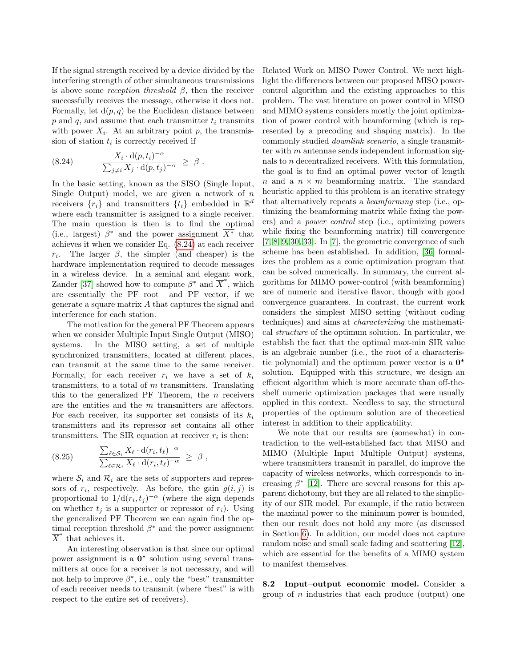If the signal strength received by a device divided by the interfering strength of other simultaneous transmissions is above some reception threshold  $\beta$ , then the receiver successfully receives the message, otherwise it does not. Formally, let  $d(p, q)$  be the Euclidean distance between  $p$  and  $q$ , and assume that each transmitter  $t_i$  transmits with power  $X_i$ . At an arbitrary point p, the transmission of station  $t_i$  is correctly received if

<span id="page-17-0"></span>(8.24) 
$$
\frac{X_i \cdot \mathrm{d}(p,t_i)^{-\alpha}}{\sum_{j \neq i} X_j \cdot \mathrm{d}(p,t_j)^{-\alpha}} \geq \beta.
$$

In the basic setting, known as the SISO (Single Input, Single Output) model, we are given a network of  $n$ receivers  $\{r_i\}$  and transmitters  $\{t_i\}$  embedded in  $\mathbb{R}^d$ where each transmitter is assigned to a single receiver. The main question is then is to find the optimal (i.e., largest)  $\beta^*$  and the power assignment  $\overline{X^*}$  that achieves it when we consider Eq. [\(8.24\)](#page-17-0) at each receiver  $r_i$ . The larger  $\beta$ , the simpler (and cheaper) is the hardware implementation required to decode messages in a wireless device. In a seminal and elegant work, Zander [\[37\]](#page-19-3) showed how to compute  $\beta^*$  and  $\overline{X}^*$ , which are essentially the PF root and PF vector, if we generate a square matrix A that captures the signal and interference for each station.

The motivation for the general PF Theorem appears when we consider Multiple Input Single Output (MISO) systems. In the MISO setting, a set of multiple synchronized transmitters, located at different places, can transmit at the same time to the same receiver. Formally, for each receiver  $r_i$  we have a set of  $k_i$ transmitters, to a total of  $m$  transmitters. Translating this to the generalized  $PF$  Theorem, the *n* receivers are the entities and the m transmitters are affectors. For each receiver, its supporter set consists of its  $k_i$ transmitters and its repressor set contains all other transmitters. The SIR equation at receiver  $r_i$  is then:

(8.25) 
$$
\frac{\sum_{\ell \in S_i} X_{\ell} \cdot d(r_i, t_{\ell})^{-\alpha}}{\sum_{\ell \in \mathcal{R}_i} X_{\ell} \cdot d(r_i, t_{\ell})^{-\alpha}} \geq \beta,
$$

where  $S_i$  and  $\mathcal{R}_i$  are the sets of supporters and repressors of  $r_i$ , respectively. As before, the gain  $g(i, j)$  is proportional to  $1/d(r_i, t_j)^{-\alpha}$  (where the sign depends on whether  $t_i$  is a supporter or repressor of  $r_i$ ). Using the generalized PF Theorem we can again find the optimal reception threshold  $\beta^*$  and the power assignment  $\overline{X}^*$  that achieves it.

An interesting observation is that since our optimal power assignment is a  $0^*$  solution using several transmitters at once for a receiver is not necessary, and will not help to improve  $\beta^*$ , i.e., only the "best" transmitter of each receiver needs to transmit (where "best" is with respect to the entire set of receivers).

Related Work on MISO Power Control. We next highlight the differences between our proposed MISO powercontrol algorithm and the existing approaches to this problem. The vast literature on power control in MISO and MIMO systems considers mostly the joint optimization of power control with beamforming (which is represented by a precoding and shaping matrix). In the commonly studied downlink scenario, a single transmitter with  $m$  antennae sends independent information signals to  $n$  decentralized receivers. With this formulation, the goal is to find an optimal power vector of length n and a  $n \times m$  beamforming matrix. The standard heuristic applied to this problem is an iterative strategy that alternatively repeats a beamforming step (i.e., optimizing the beamforming matrix while fixing the powers) and a power control step (i.e., optimizing powers while fixing the beamforming matrix) till convergence  $[7, 8, 9, 30, 33]$  $[7, 8, 9, 30, 33]$  $[7, 8, 9, 30, 33]$  $[7, 8, 9, 30, 33]$  $[7, 8, 9, 30, 33]$ . In  $[7]$ , the geometric convergence of such scheme has been established. In addition, [\[36\]](#page-19-34) formalizes the problem as a conic optimization program that can be solved numerically. In summary, the current algorithms for MIMO power-control (with beamforming) are of numeric and iterative flavor, though with good convergence guarantees. In contrast, the current work considers the simplest MISO setting (without coding techniques) and aims at characterizing the mathematical structure of the optimum solution. In particular, we establish the fact that the optimal max-min SIR value is an algebraic number (i.e., the root of a characteristic polynomial) and the optimum power vector is a  $0^*$ solution. Equipped with this structure, we design an efficient algorithm which is more accurate than off-theshelf numeric optimization packages that were usually applied in this context. Needless to say, the structural properties of the optimum solution are of theoretical interest in addition to their applicability.

We note that our results are (somewhat) in contradiction to the well-established fact that MISO and MIMO (Multiple Input Multiple Output) systems, where transmitters transmit in parallel, do improve the capacity of wireless networks, which corresponds to increasing  $\beta^*$  [\[12\]](#page-19-35). There are several reasons for this apparent dichotomy, but they are all related to the simplicity of our SIR model. For example, if the ratio between the maximal power to the minimum power is bounded, then our result does not hold any more (as discussed in Section [6\)](#page-14-2). In addition, our model does not capture random noise and small scale fading and scattering [\[12\]](#page-19-35), which are essential for the benefits of a MIMO system to manifest themselves.

8.2 Input–output economic model. Consider a group of  $n$  industries that each produce (output) one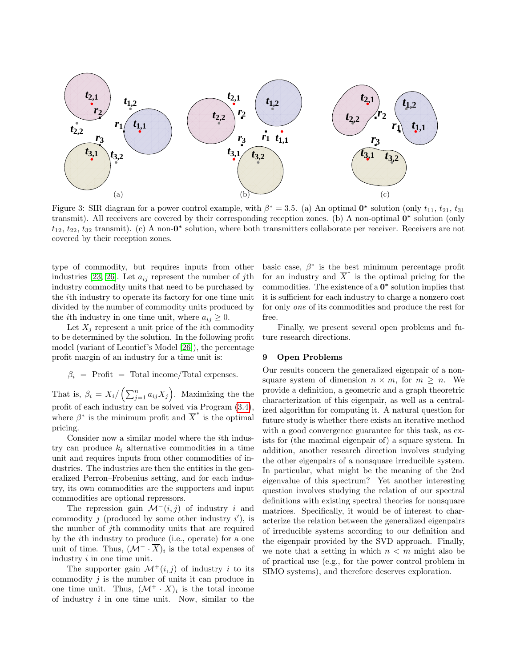<span id="page-18-0"></span>

Figure 3: SIR diagram for a power control example, with  $\beta^* = 3.5$ . (a) An optimal  $0^*$  solution (only  $t_{11}$ ,  $t_{21}$ ,  $t_{31}$ transmit). All receivers are covered by their corresponding reception zones. (b) A non-optimal  $0^*$  solution (only  $t_{12}$ ,  $t_{22}$ ,  $t_{32}$  transmit). (c) A non- $0^*$  solution, where both transmitters collaborate per receiver. Receivers are not covered by their reception zones.

type of commodity, but requires inputs from other industries [\[23,](#page-19-18) [26\]](#page-19-5). Let  $a_{ij}$  represent the number of jth industry commodity units that need to be purchased by the ith industry to operate its factory for one time unit divided by the number of commodity units produced by the *i*th industry in one time unit, where  $a_{ij} \geq 0$ .

Let  $X_i$  represent a unit price of the *i*th commodity to be determined by the solution. In the following profit model (variant of Leontief's Model [\[26\]](#page-19-5)), the percentage profit margin of an industry for a time unit is:

## $\beta_i$  = Profit = Total income/Total expenses.

That is,  $\beta_i = X_i / (\sum_{j=1}^n a_{ij} X_j)$ . Maximizing the the profit of each industry can be solved via Program [\(3.4\)](#page-4-0), where  $\beta^*$  is the minimum profit and  $\overline{X}^*$  is the optimal pricing.

Consider now a similar model where the ith industry can produce  $k_i$  alternative commodities in a time unit and requires inputs from other commodities of industries. The industries are then the entities in the generalized Perron–Frobenius setting, and for each industry, its own commodities are the supporters and input commodities are optional repressors.

The repression gain  $\mathcal{M}^-(i,j)$  of industry i and commodity  $j$  (produced by some other industry  $i'$ ), is the number of jth commodity units that are required by the ith industry to produce (i.e., operate) for a one unit of time. Thus,  $(\mathcal{M}^- \cdot \overline{X})_i$  is the total expenses of industry i in one time unit.

The supporter gain  $\mathcal{M}^+(i, j)$  of industry i to its commodity  $j$  is the number of units it can produce in one time unit. Thus,  $(\mathcal{M}^+ \cdot \overline{X})_i$  is the total income of industry  $i$  in one time unit. Now, similar to the

basic case,  $\beta^*$  is the best minimum percentage profit for an industry and  $\overline{X}^*$  is the optimal pricing for the commodities. The existence of a  $0^*$  solution implies that it is sufficient for each industry to charge a nonzero cost for only one of its commodities and produce the rest for free.

Finally, we present several open problems and future research directions.

#### 9 Open Problems

Our results concern the generalized eigenpair of a nonsquare system of dimension  $n \times m$ , for  $m \geq n$ . We provide a definition, a geometric and a graph theoretric characterization of this eigenpair, as well as a centralized algorithm for computing it. A natural question for future study is whether there exists an iterative method with a good convergence guarantee for this task, as exists for (the maximal eigenpair of) a square system. In addition, another research direction involves studying the other eigenpairs of a nonsquare irreducible system. In particular, what might be the meaning of the 2nd eigenvalue of this spectrum? Yet another interesting question involves studying the relation of our spectral definitions with existing spectral theories for nonsquare matrices. Specifically, it would be of interest to characterize the relation between the generalized eigenpairs of irreducible systems according to our definition and the eigenpair provided by the SVD approach. Finally, we note that a setting in which  $n < m$  might also be of practical use (e.g., for the power control problem in SIMO systems), and therefore deserves exploration.